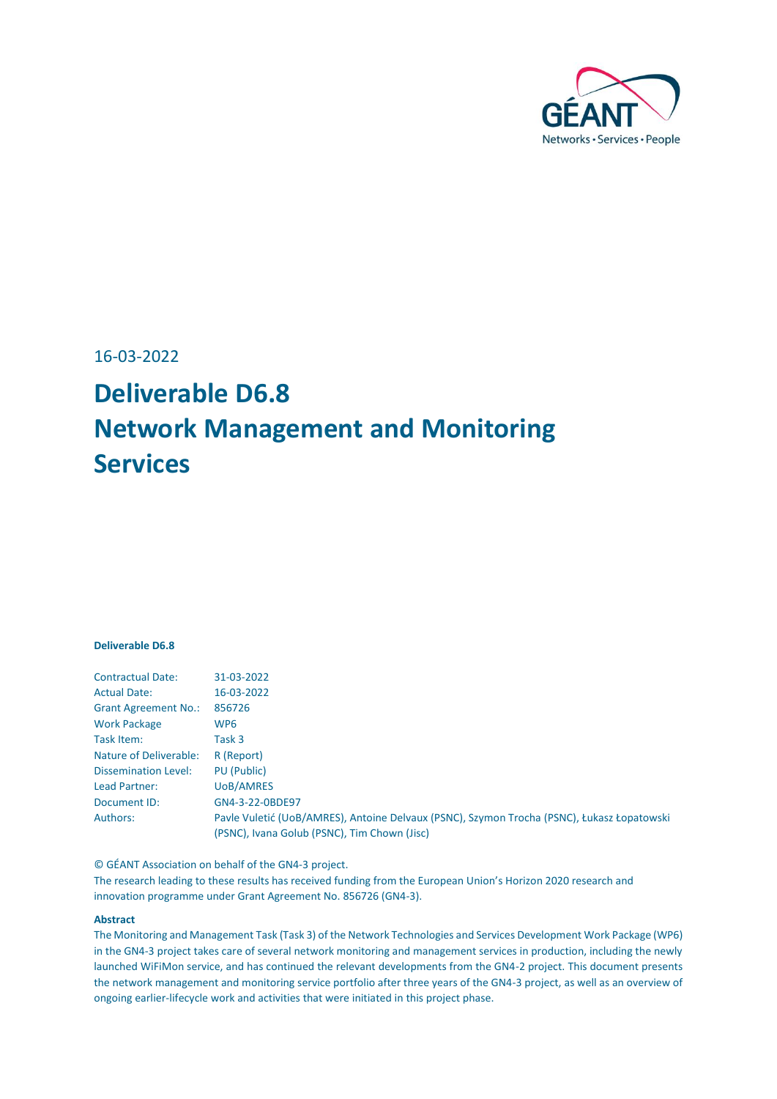

16-03-2022

# **Deliverable D6.8 Network Management and Monitoring Services**

#### **Deliverable D6.8**

| <b>Contractual Date:</b>    | 31-03-2022                                                                                 |
|-----------------------------|--------------------------------------------------------------------------------------------|
| <b>Actual Date:</b>         | 16-03-2022                                                                                 |
| <b>Grant Agreement No.:</b> | 856726                                                                                     |
| <b>Work Package</b>         | WP <sub>6</sub>                                                                            |
| Task Item:                  | Task 3                                                                                     |
| Nature of Deliverable:      | R (Report)                                                                                 |
| <b>Dissemination Level:</b> | PU (Public)                                                                                |
| Lead Partner:               | UoB/AMRES                                                                                  |
| Document ID:                | GN4-3-22-0BDE97                                                                            |
| Authors:                    | Pavle Vuletić (UoB/AMRES), Antoine Delvaux (PSNC), Szymon Trocha (PSNC), Łukasz Łopatowski |
|                             | (PSNC), Ivana Golub (PSNC), Tim Chown (Jisc)                                               |
|                             |                                                                                            |

© GÉANT Association on behalf of the GN4-3 project.

The research leading to these results has received funding from the European Union's Horizon 2020 research and innovation programme under Grant Agreement No. 856726 (GN4-3).

#### **Abstract**

The Monitoring and Management Task (Task 3) of the Network Technologies and Services Development Work Package (WP6) in the GN4-3 project takes care of several network monitoring and management services in production, including the newly launched WiFiMon service, and has continued the relevant developments from the GN4-2 project. This document presents the network management and monitoring service portfolio after three years of the GN4-3 project, as well as an overview of ongoing earlier-lifecycle work and activities that were initiated in this project phase.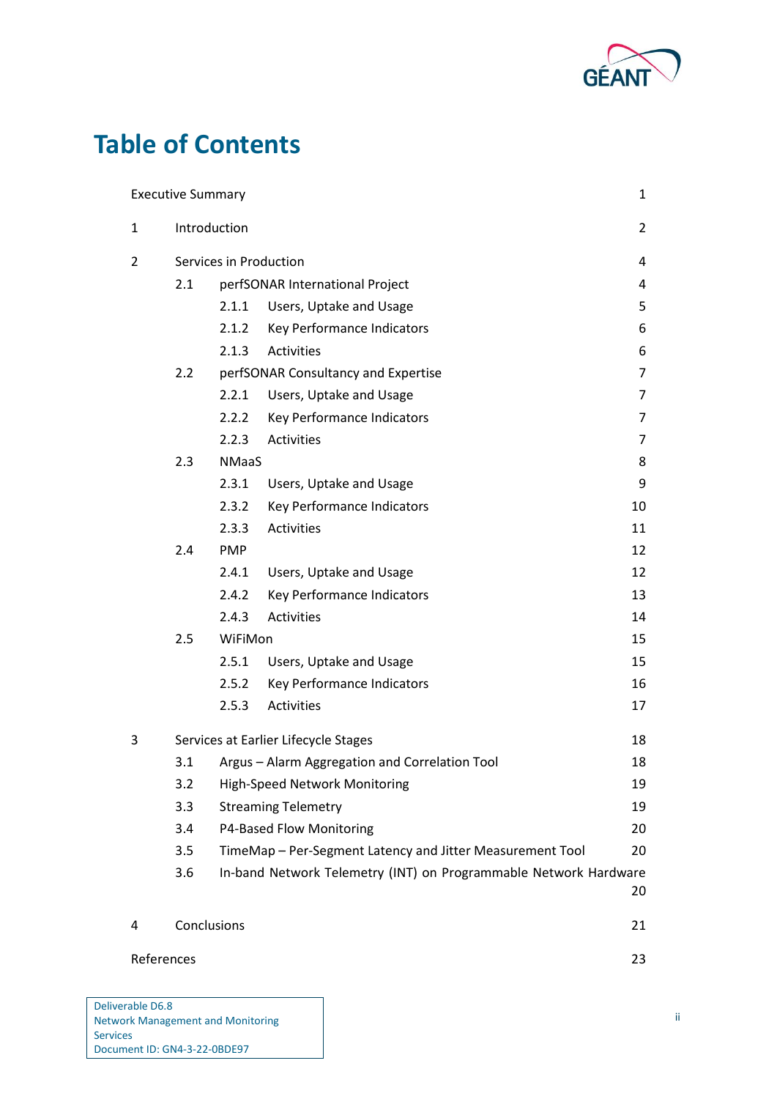

# **Table of Contents**

|                | <b>Executive Summary</b> |              |                                                                  | $\mathbf{1}$   |
|----------------|--------------------------|--------------|------------------------------------------------------------------|----------------|
| $\mathbf{1}$   | Introduction             |              |                                                                  | $\overline{2}$ |
| $\overline{2}$ | Services in Production   |              |                                                                  | 4              |
|                | 2.1                      |              | perfSONAR International Project                                  | 4              |
|                |                          | 2.1.1        | Users, Uptake and Usage                                          | 5              |
|                |                          | 2.1.2        | Key Performance Indicators                                       | 6              |
|                |                          | 2.1.3        | Activities                                                       | 6              |
|                | 2.2                      |              | perfSONAR Consultancy and Expertise                              | $\overline{7}$ |
|                |                          | 2.2.1        | Users, Uptake and Usage                                          | 7              |
|                |                          | 2.2.2        | Key Performance Indicators                                       | 7              |
|                |                          | 2.2.3        | Activities                                                       | 7              |
|                | 2.3                      | <b>NMaaS</b> |                                                                  | 8              |
|                |                          | 2.3.1        | Users, Uptake and Usage                                          | 9              |
|                |                          | 2.3.2        | Key Performance Indicators                                       | 10             |
|                |                          | 2.3.3        | Activities                                                       | 11             |
|                | 2.4                      | <b>PMP</b>   |                                                                  | 12             |
|                |                          | 2.4.1        | Users, Uptake and Usage                                          | 12             |
|                |                          | 2.4.2        | Key Performance Indicators                                       | 13             |
|                |                          | 2.4.3        | Activities                                                       | 14             |
|                | 2.5                      | WiFiMon      |                                                                  | 15             |
|                |                          | 2.5.1        | Users, Uptake and Usage                                          | 15             |
|                |                          | 2.5.2        | Key Performance Indicators                                       | 16             |
|                |                          | 2.5.3        | Activities                                                       | 17             |
| 3              |                          |              | Services at Earlier Lifecycle Stages                             | 18             |
|                | 3.1                      |              | Argus - Alarm Aggregation and Correlation Tool                   | 18             |
|                | 3.2                      |              | High-Speed Network Monitoring                                    | 19             |
|                | 3.3                      |              | <b>Streaming Telemetry</b>                                       | 19             |
|                | 3.4                      |              | P4-Based Flow Monitoring                                         | 20             |
|                | 3.5                      |              | TimeMap - Per-Segment Latency and Jitter Measurement Tool        | 20             |
|                | 3.6                      |              | In-band Network Telemetry (INT) on Programmable Network Hardware | 20             |
| 4              | Conclusions              |              |                                                                  | 21             |
| References     |                          |              |                                                                  | 23             |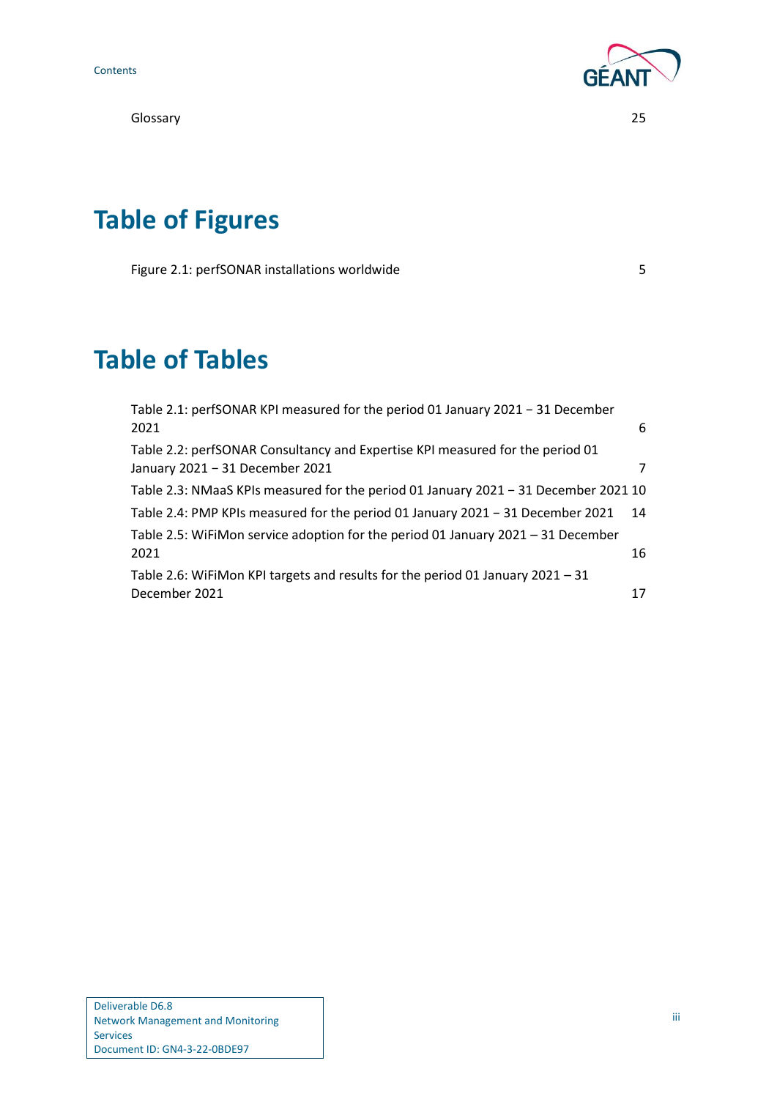[Glossary](#page-27-0) 25



# **Table of Figures**

[Figure 2.1: perfSONAR installations worldwide](#page-7-1) 5

# **Table of Tables**

| Table 2.1: perfSONAR KPI measured for the period 01 January 2021 - 31 December      |                |
|-------------------------------------------------------------------------------------|----------------|
| 2021                                                                                | 6              |
| Table 2.2: perfSONAR Consultancy and Expertise KPI measured for the period 01       |                |
| January 2021 - 31 December 2021                                                     | $\overline{7}$ |
| Table 2.3: NMaaS KPIs measured for the period 01 January 2021 - 31 December 2021 10 |                |
| Table 2.4: PMP KPIs measured for the period 01 January 2021 - 31 December 2021      | 14             |
| Table 2.5: WiFiMon service adoption for the period 01 January 2021 - 31 December    |                |
| 2021                                                                                | 16             |
| Table 2.6: WiFiMon KPI targets and results for the period 01 January 2021 - 31      |                |
| December 2021                                                                       | 17             |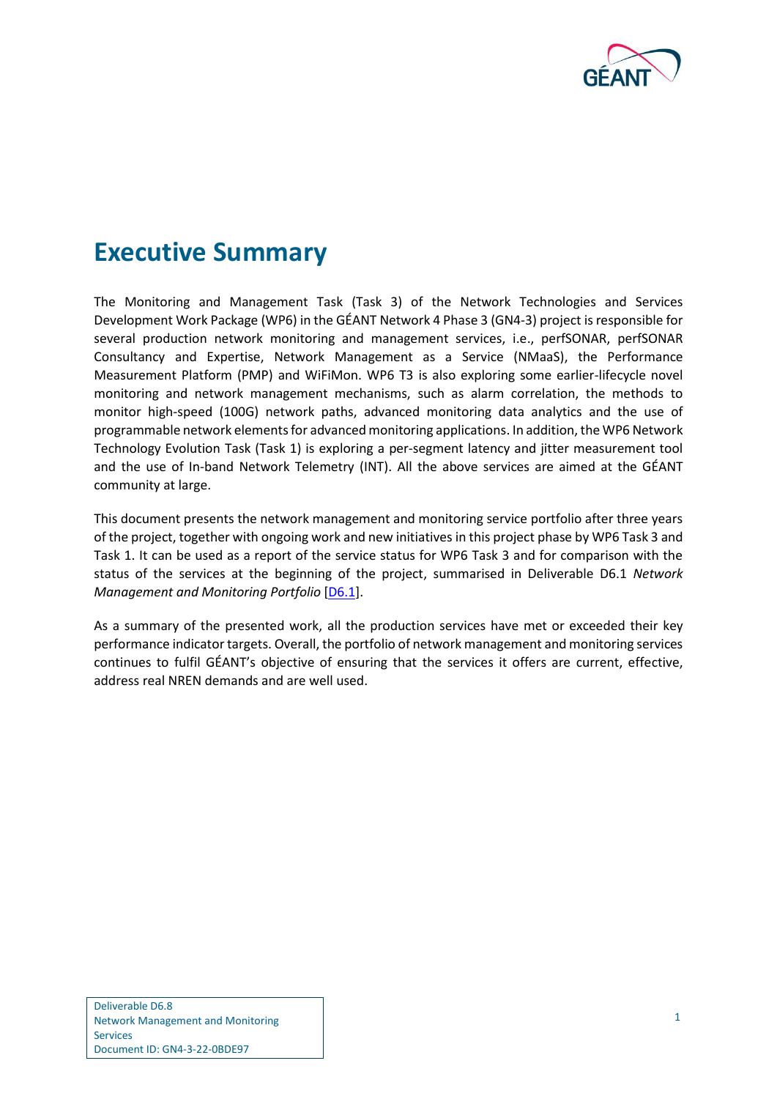

## <span id="page-3-0"></span>**Executive Summary**

The Monitoring and Management Task (Task 3) of the Network Technologies and Services Development Work Package (WP6) in the GÉANT Network 4 Phase 3 (GN4-3) project is responsible for several production network monitoring and management services, i.e., perfSONAR, perfSONAR Consultancy and Expertise, Network Management as a Service (NMaaS), the Performance Measurement Platform (PMP) and WiFiMon. WP6 T3 is also exploring some earlier-lifecycle novel monitoring and network management mechanisms, such as alarm correlation, the methods to monitor high-speed (100G) network paths, advanced monitoring data analytics and the use of programmable network elements for advanced monitoring applications. In addition, the WP6 Network Technology Evolution Task (Task 1) is exploring a per-segment latency and jitter measurement tool and the use of In-band Network Telemetry (INT). All the above services are aimed at the GÉANT community at large.

This document presents the network management and monitoring service portfolio after three years of the project, together with ongoing work and new initiatives in this project phase by WP6 Task 3 and Task 1. It can be used as a report of the service status for WP6 Task 3 and for comparison with the status of the services at the beginning of the project, summarised in Deliverable D6.1 *Network Management and Monitoring Portfolio* [\[D6.1\]](#page-25-1).

As a summary of the presented work, all the production services have met or exceeded their key performance indicatortargets. Overall, the portfolio of network management and monitoring services continues to fulfil GÉANT's objective of ensuring that the services it offers are current, effective, address real NREN demands and are well used.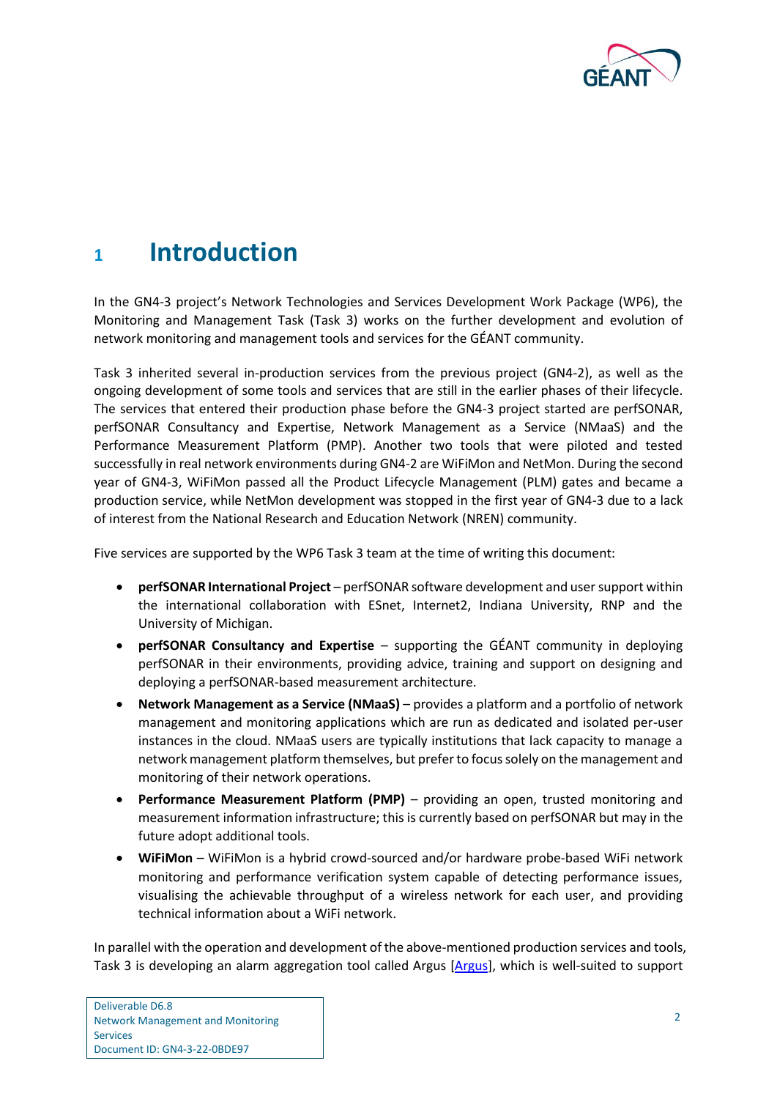

## <span id="page-4-0"></span>**<sup>1</sup> Introduction**

In the GN4-3 project's Network Technologies and Services Development Work Package (WP6), the Monitoring and Management Task (Task 3) works on the further development and evolution of network monitoring and management tools and services for the GÉANT community.

Task 3 inherited several in-production services from the previous project (GN4-2), as well as the ongoing development of some tools and services that are still in the earlier phases of their lifecycle. The services that entered their production phase before the GN4-3 project started are perfSONAR, perfSONAR Consultancy and Expertise, Network Management as a Service (NMaaS) and the Performance Measurement Platform (PMP). Another two tools that were piloted and tested successfully in real network environments during GN4-2 are WiFiMon and NetMon. During the second year of GN4-3, WiFiMon passed all the Product Lifecycle Management (PLM) gates and became a production service, while NetMon development was stopped in the first year of GN4-3 due to a lack of interest from the National Research and Education Network (NREN) community.

Five services are supported by the WP6 Task 3 team at the time of writing this document:

- **perfSONAR International Project** perfSONAR software development and user support within the international collaboration with ESnet, Internet2, Indiana University, RNP and the University of Michigan.
- **perfSONAR Consultancy and Expertise** supporting the GÉANT community in deploying perfSONAR in their environments, providing advice, training and support on designing and deploying a perfSONAR-based measurement architecture.
- **Network Management as a Service (NMaaS)** provides a platform and a portfolio of network management and monitoring applications which are run as dedicated and isolated per-user instances in the cloud. NMaaS users are typically institutions that lack capacity to manage a network management platform themselves, but prefer to focus solely on the management and monitoring of their network operations.
- **Performance Measurement Platform (PMP)** providing an open, trusted monitoring and measurement information infrastructure; this is currently based on perfSONAR but may in the future adopt additional tools.
- **WiFiMon** WiFiMon is a hybrid crowd-sourced and/or hardware probe-based WiFi network monitoring and performance verification system capable of detecting performance issues, visualising the achievable throughput of a wireless network for each user, and providing technical information about a WiFi network.

In parallel with the operation and development of the above-mentioned production services and tools, Task 3 is developing an alarm aggregation tool called Argus [\[Argus\]](#page-25-2), which is well-suited to support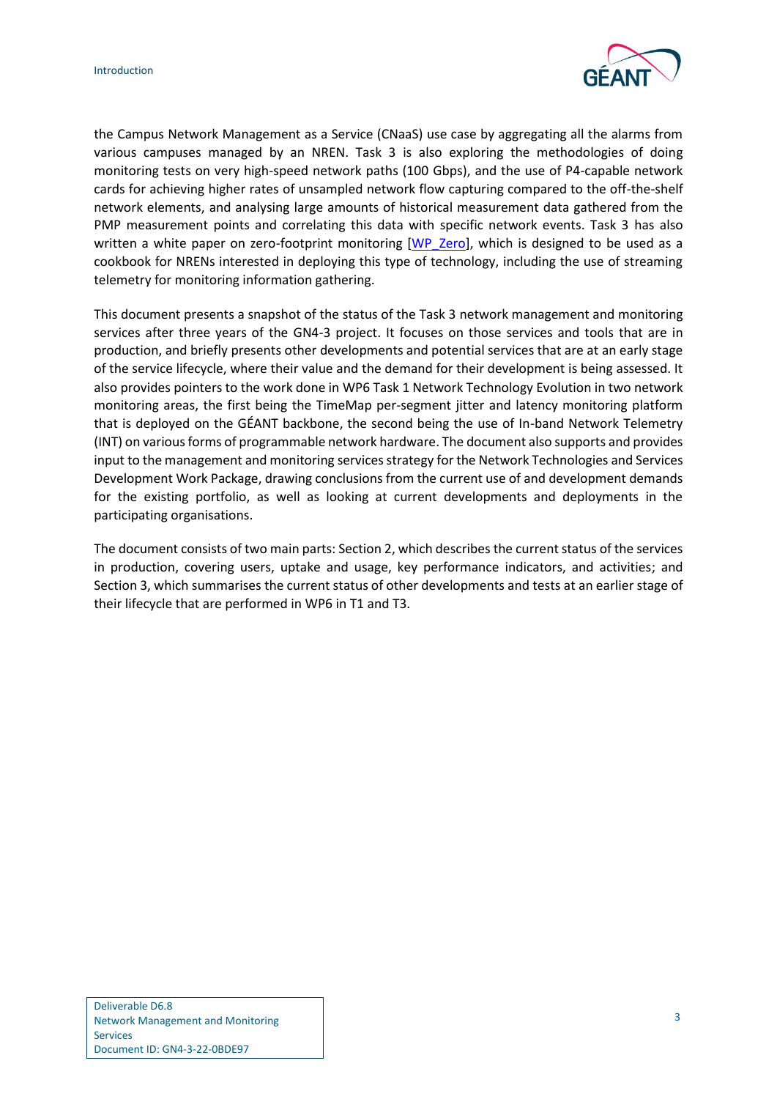

the Campus Network Management as a Service (CNaaS) use case by aggregating all the alarms from various campuses managed by an NREN. Task 3 is also exploring the methodologies of doing monitoring tests on very high-speed network paths (100 Gbps), and the use of P4-capable network cards for achieving higher rates of unsampled network flow capturing compared to the off-the-shelf network elements, and analysing large amounts of historical measurement data gathered from the PMP measurement points and correlating this data with specific network events. Task 3 has also written a white paper on zero-footprint monitoring [\[WP\\_Zero\]](#page-26-0), which is designed to be used as a cookbook for NRENs interested in deploying this type of technology, including the use of streaming telemetry for monitoring information gathering.

This document presents a snapshot of the status of the Task 3 network management and monitoring services after three years of the GN4-3 project. It focuses on those services and tools that are in production, and briefly presents other developments and potential services that are at an early stage of the service lifecycle, where their value and the demand for their development is being assessed. It also provides pointers to the work done in WP6 Task 1 Network Technology Evolution in two network monitoring areas, the first being the TimeMap per-segment jitter and latency monitoring platform that is deployed on the GÉANT backbone, the second being the use of In-band Network Telemetry (INT) on various forms of programmable network hardware. The document also supports and provides input to the management and monitoring services strategy for the Network Technologies and Services Development Work Package, drawing conclusions from the current use of and development demands for the existing portfolio, as well as looking at current developments and deployments in the participating organisations.

The document consists of two main parts: Sectio[n 2,](#page-6-0) which describes the current status of the services in production, covering users, uptake and usage, key performance indicators, and activities; and Sectio[n 3,](#page-20-0) which summarises the current status of other developments and tests at an earlier stage of their lifecycle that are performed in WP6 in T1 and T3.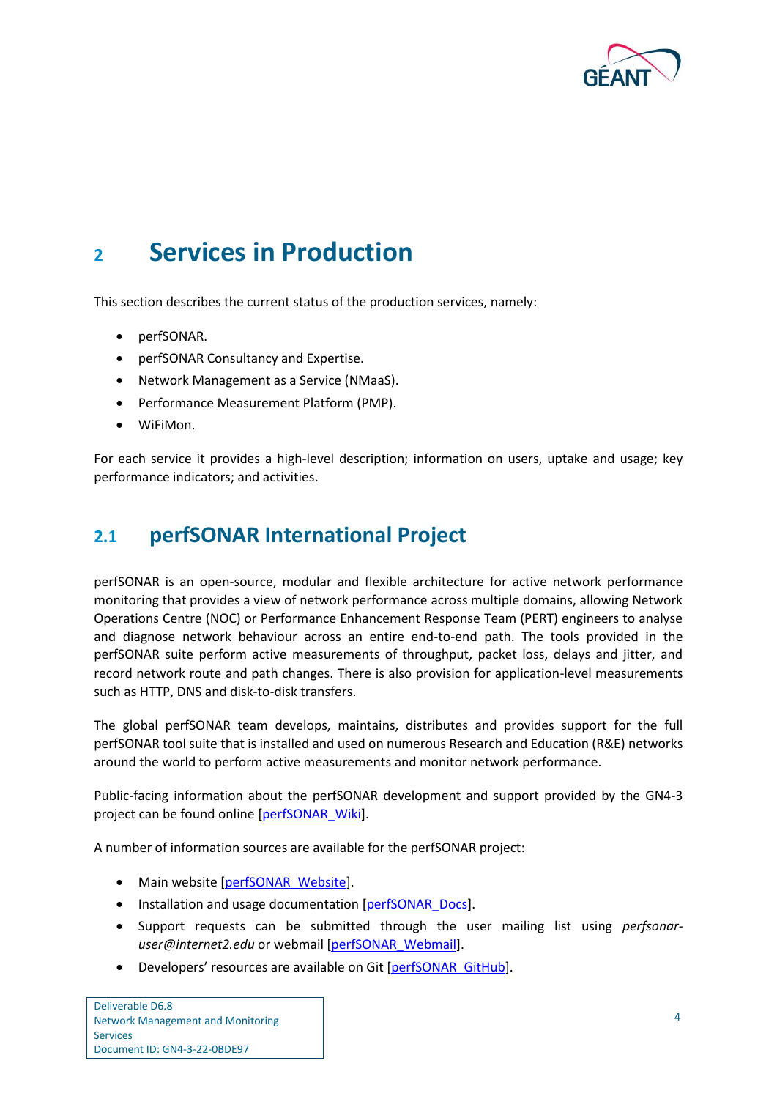

## <span id="page-6-0"></span>**<sup>2</sup> Services in Production**

This section describes the current status of the production services, namely:

- perfSONAR.
- perfSONAR Consultancy and Expertise.
- Network Management as a Service (NMaaS).
- Performance Measurement Platform (PMP).
- WiFiMon.

For each service it provides a high-level description; information on users, uptake and usage; key performance indicators; and activities.

### <span id="page-6-1"></span>**2.1 perfSONAR International Project**

perfSONAR is an open-source, modular and flexible architecture for active network performance monitoring that provides a view of network performance across multiple domains, allowing Network Operations Centre (NOC) or Performance Enhancement Response Team (PERT) engineers to analyse and diagnose network behaviour across an entire end-to-end path. The tools provided in the perfSONAR suite perform active measurements of throughput, packet loss, delays and jitter, and record network route and path changes. There is also provision for application-level measurements such as HTTP, DNS and disk-to-disk transfers.

The global perfSONAR team develops, maintains, distributes and provides support for the full perfSONAR tool suite that is installed and used on numerous Research and Education (R&E) networks around the world to perform active measurements and monitor network performance.

Public-facing information about the perfSONAR development and support provided by the GN4-3 project can be found online [\[perfSONAR\\_Wiki\]](#page-26-1).

A number of information sources are available for the perfSONAR project:

- Main website [\[perfSONAR\\_Website\]](#page-26-2).
- Installation and usage documentation [\[perfSONAR\\_Docs\]](#page-26-3).
- Support requests can be submitted through the user mailing list using *perfsonaruser@internet2.edu* or webmail [\[perfSONAR\\_Webmail\]](#page-26-4).
- Developers' resources are available on Git [\[perfSONAR\\_GitHub\]](#page-26-5).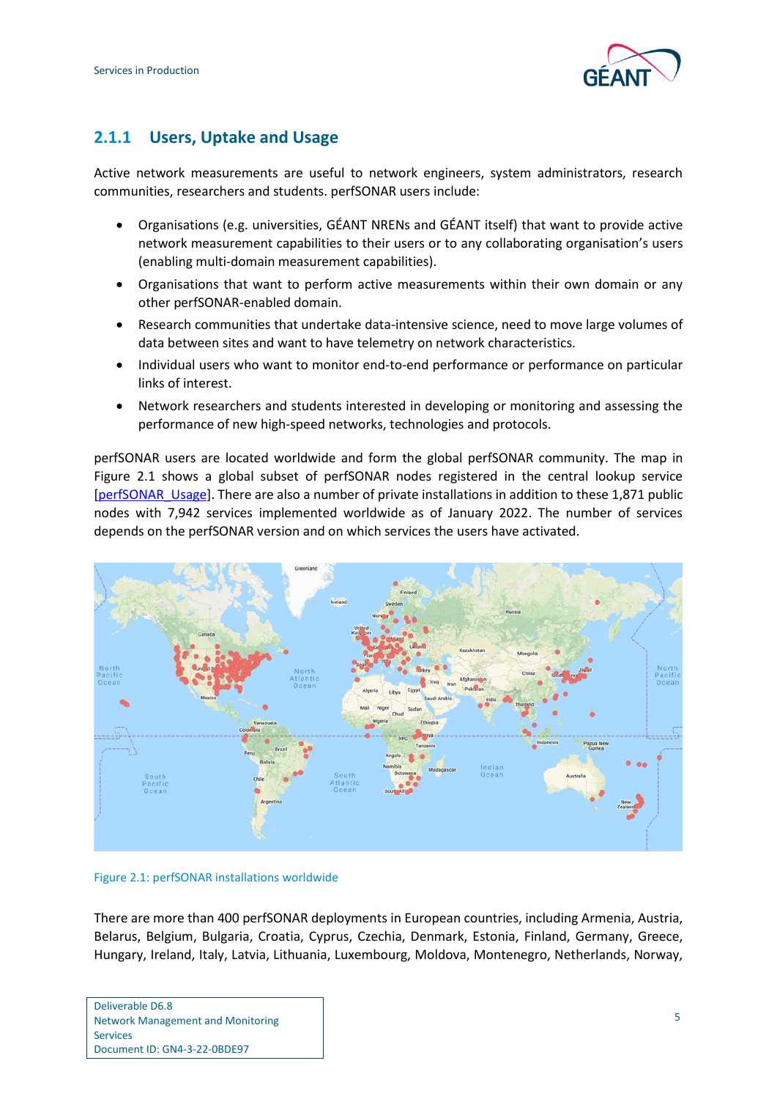

### <span id="page-7-0"></span>**2.1.1 Users, Uptake and Usage**

Active network measurements are useful to network engineers, system administrators, research communities, researchers and students. perfSONAR users include:

- Organisations (e.g. universities, GÉANT NRENs and GÉANT itself) that want to provide active network measurement capabilities to their users or to any collaborating organisation's users (enabling multi-domain measurement capabilities).
- Organisations that want to perform active measurements within their own domain or any other perfSONAR-enabled domain.
- Research communities that undertake data-intensive science, need to move large volumes of data between sites and want to have telemetry on network characteristics.
- Individual users who want to monitor end-to-end performance or performance on particular links of interest.
- Network researchers and students interested in developing or monitoring and assessing the performance of new high-speed networks, technologies and protocols.

perfSONAR users are located worldwide and form the global perfSONAR community. The map in [Figure 2.1](#page-7-1) shows a global subset of perfSONAR nodes registered in the central lookup service [\[perfSONAR\\_Usage\]](#page-26-6). There are also a number of private installations in addition to these 1,871 public nodes with 7,942 services implemented worldwide as of January 2022. The number of services depends on the perfSONAR version and on which services the users have activated.



#### <span id="page-7-1"></span>Figure 2.1: perfSONAR installations worldwide

There are more than 400 perfSONAR deployments in European countries, including Armenia, Austria, Belarus, Belgium, Bulgaria, Croatia, Cyprus, Czechia, Denmark, Estonia, Finland, Germany, Greece, Hungary, Ireland, Italy, Latvia, Lithuania, Luxembourg, Moldova, Montenegro, Netherlands, Norway,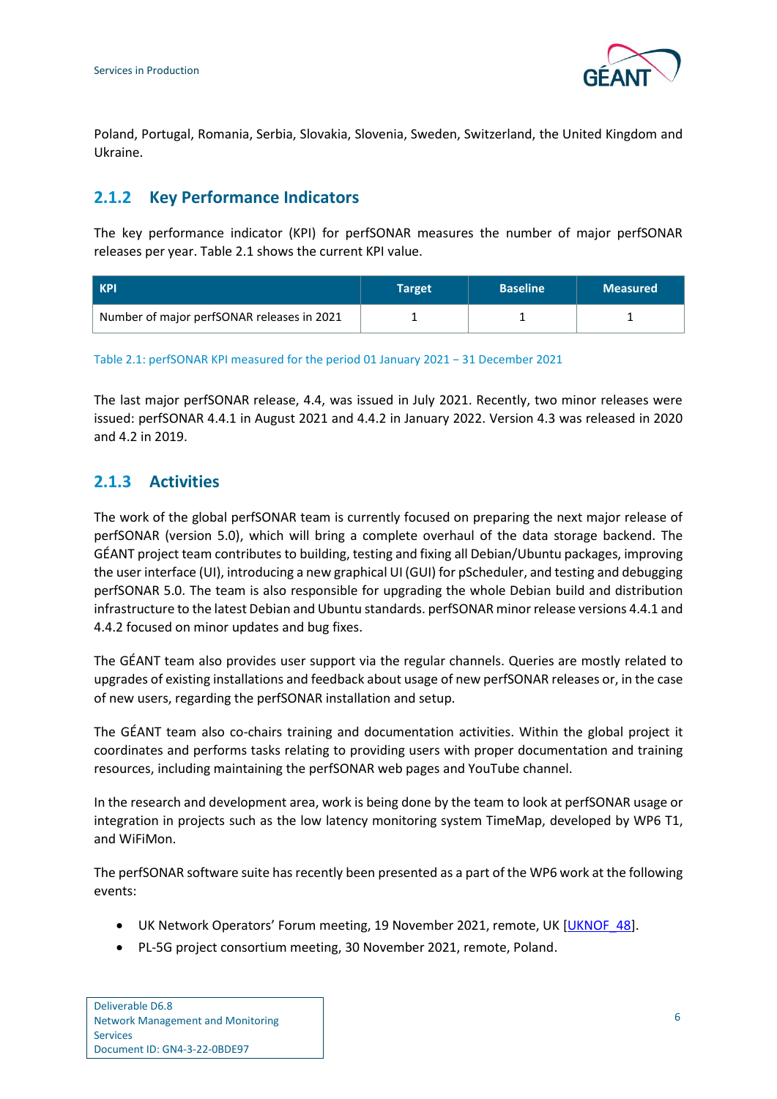

Poland, Portugal, Romania, Serbia, Slovakia, Slovenia, Sweden, Switzerland, the United Kingdom and Ukraine.

### <span id="page-8-0"></span>**2.1.2 Key Performance Indicators**

The key performance indicator (KPI) for perfSONAR measures the number of major perfSONAR releases per year[. Table 2.1](#page-8-2) shows the current KPI value.

| <b>KPI</b>                                 | Target | <b>Baseline</b> | <b>Measured</b> |
|--------------------------------------------|--------|-----------------|-----------------|
| Number of major perfSONAR releases in 2021 |        |                 |                 |

<span id="page-8-2"></span>Table 2.1: perfSONAR KPI measured for the period 01 January 2021 − 31 December 2021

The last major perfSONAR release, 4.4, was issued in July 2021. Recently, two minor releases were issued: perfSONAR 4.4.1 in August 2021 and 4.4.2 in January 2022. Version 4.3 was released in 2020 and 4.2 in 2019.

### <span id="page-8-1"></span>**2.1.3 Activities**

The work of the global perfSONAR team is currently focused on preparing the next major release of perfSONAR (version 5.0), which will bring a complete overhaul of the data storage backend. The GÉANT project team contributes to building, testing and fixing all Debian/Ubuntu packages, improving the user interface (UI), introducing a new graphical UI (GUI) for pScheduler, and testing and debugging perfSONAR 5.0. The team is also responsible for upgrading the whole Debian build and distribution infrastructure to the latest Debian and Ubuntu standards. perfSONAR minor release versions 4.4.1 and 4.4.2 focused on minor updates and bug fixes.

The GÉANT team also provides user support via the regular channels. Queries are mostly related to upgrades of existing installations and feedback about usage of new perfSONAR releases or, in the case of new users, regarding the perfSONAR installation and setup.

The GÉANT team also co-chairs training and documentation activities. Within the global project it coordinates and performs tasks relating to providing users with proper documentation and training resources, including maintaining the perfSONAR web pages and YouTube channel.

In the research and development area, work is being done by the team to look at perfSONAR usage or integration in projects such as the low latency monitoring system TimeMap, developed by WP6 T1, and WiFiMon.

The perfSONAR software suite has recently been presented as a part of the WP6 work at the following events:

- UK Network Operators' Forum meeting, 19 November 2021, remote, UK [\[UKNOF\\_48\]](#page-26-7).
- PL-5G project consortium meeting, 30 November 2021, remote, Poland.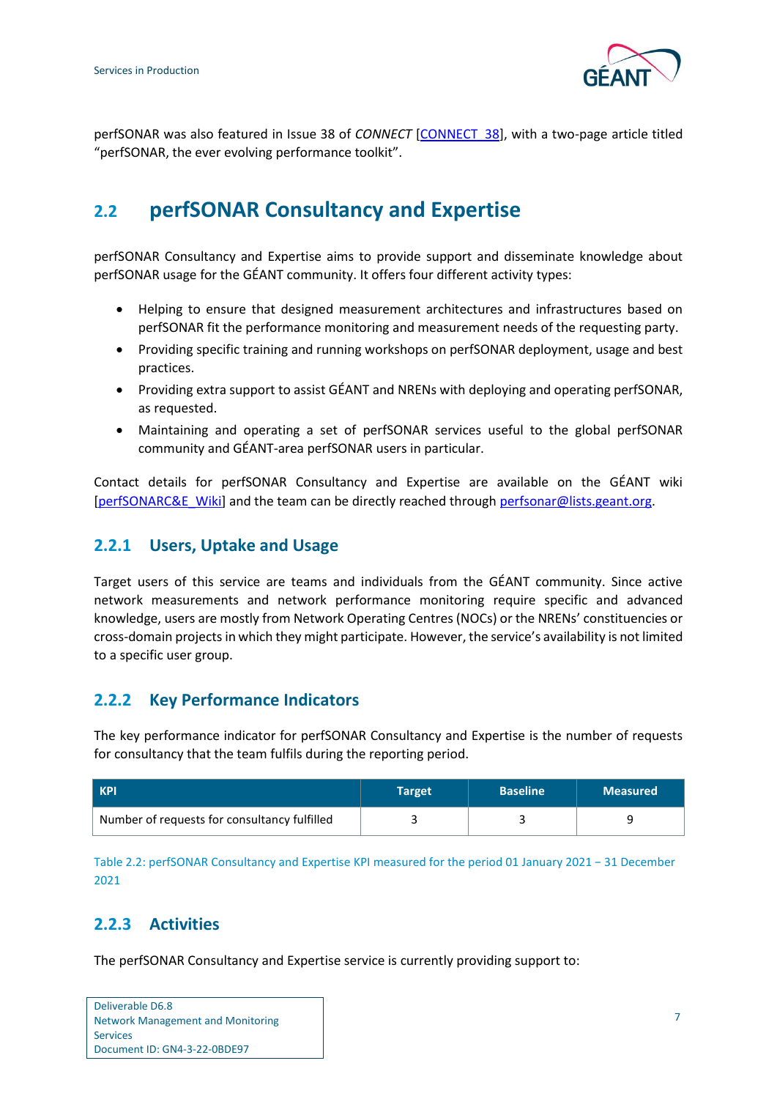

perfSONAR was also featured in Issue 38 of *CONNECT* [\[CONNECT\\_38\]](#page-25-3), with a two-page article titled "perfSONAR, the ever evolving performance toolkit".

## <span id="page-9-0"></span>**2.2 perfSONAR Consultancy and Expertise**

perfSONAR Consultancy and Expertise aims to provide support and disseminate knowledge about perfSONAR usage for the GÉANT community. It offers four different activity types:

- Helping to ensure that designed measurement architectures and infrastructures based on perfSONAR fit the performance monitoring and measurement needs of the requesting party.
- Providing specific training and running workshops on perfSONAR deployment, usage and best practices.
- Providing extra support to assist GÉANT and NRENs with deploying and operating perfSONAR, as requested.
- Maintaining and operating a set of perfSONAR services useful to the global perfSONAR community and GÉANT-area perfSONAR users in particular.

Contact details for perfSONAR Consultancy and Expertise are available on the GÉANT wiki [\[perfSONARC&E\\_Wiki\]](#page-26-8) and the team can be directly reached through [perfsonar@lists.geant.org.](mailto:perfsonar@lists.geant.org)

### <span id="page-9-1"></span>**2.2.1 Users, Uptake and Usage**

Target users of this service are teams and individuals from the GÉANT community. Since active network measurements and network performance monitoring require specific and advanced knowledge, users are mostly from Network Operating Centres (NOCs) or the NRENs' constituencies or cross-domain projects in which they might participate. However, the service's availability is not limited to a specific user group.

#### <span id="page-9-2"></span>**2.2.2 Key Performance Indicators**

The key performance indicator for perfSONAR Consultancy and Expertise is the number of requests for consultancy that the team fulfils during the reporting period.

| <b>KPI</b>                                   | Target | <b>Baseline</b> | <b>Measured</b> |
|----------------------------------------------|--------|-----------------|-----------------|
| Number of requests for consultancy fulfilled |        |                 |                 |

<span id="page-9-4"></span>Table 2.2: perfSONAR Consultancy and Expertise KPI measured for the period 01 January 2021 − 31 December 2021

### <span id="page-9-3"></span>**2.2.3 Activities**

The perfSONAR Consultancy and Expertise service is currently providing support to:

Deliverable D6.8 Network Management and Monitoring Services Document ID: GN4-3-22-0BDE97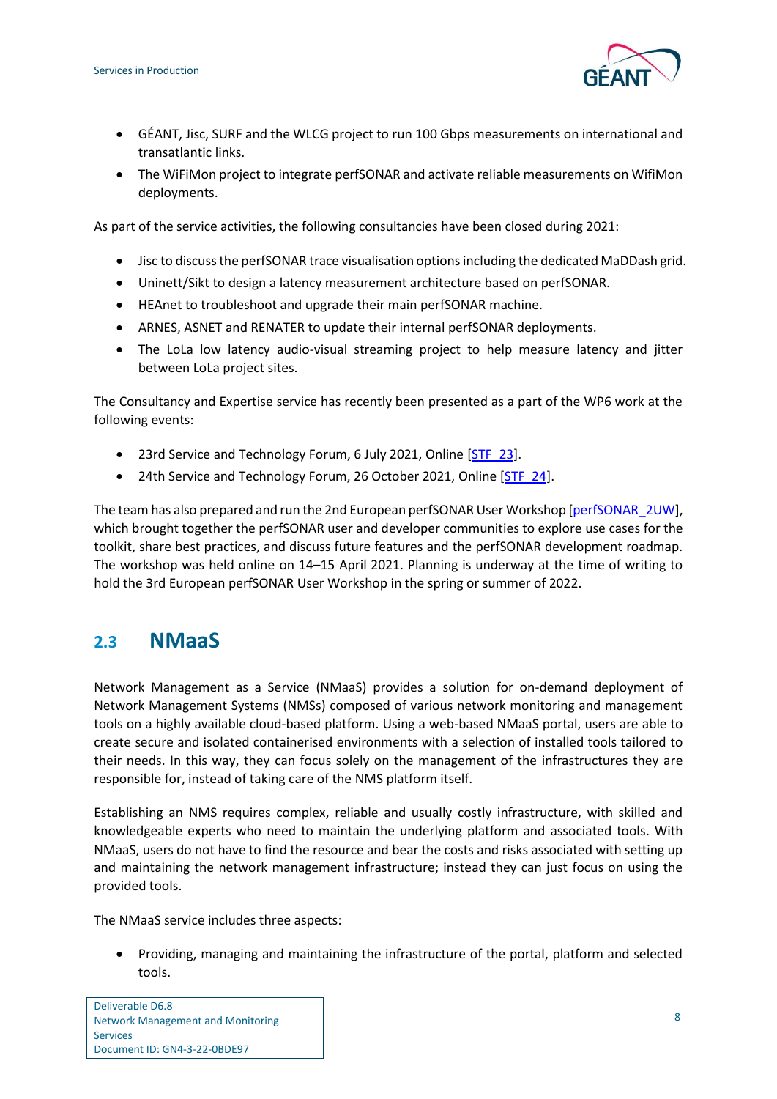

- GÉANT, Jisc, SURF and the WLCG project to run 100 Gbps measurements on international and transatlantic links.
- The WiFiMon project to integrate perfSONAR and activate reliable measurements on WifiMon deployments.

As part of the service activities, the following consultancies have been closed during 2021:

- Jisc to discuss the perfSONAR trace visualisation options including the dedicated MaDDash grid.
- Uninett/Sikt to design a latency measurement architecture based on perfSONAR.
- HEAnet to troubleshoot and upgrade their main perfSONAR machine.
- ARNES, ASNET and RENATER to update their internal perfSONAR deployments.
- The LoLa low latency audio-visual streaming project to help measure latency and jitter between LoLa project sites.

The Consultancy and Expertise service has recently been presented as a part of the WP6 work at the following events:

- 23rd Service and Technology Forum, 6 July 2021, Online [\[STF\\_23\]](#page-26-9).
- 24th Service and Technology Forum, 26 October 2021, Online [\[STF\\_24\]](#page-26-10).

The team has also prepared and run the 2nd European perfSONAR User Workshop [\[perfSONAR\\_2UW\]](#page-26-11), which brought together the perfSONAR user and developer communities to explore use cases for the toolkit, share best practices, and discuss future features and the perfSONAR development roadmap. The workshop was held online on 14–15 April 2021. Planning is underway at the time of writing to hold the 3rd European perfSONAR User Workshop in the spring or summer of 2022.

### <span id="page-10-0"></span>**2.3 NMaaS**

Network Management as a Service (NMaaS) provides a solution for on-demand deployment of Network Management Systems (NMSs) composed of various network monitoring and management tools on a highly available cloud-based platform. Using a web-based NMaaS portal, users are able to create secure and isolated containerised environments with a selection of installed tools tailored to their needs. In this way, they can focus solely on the management of the infrastructures they are responsible for, instead of taking care of the NMS platform itself.

Establishing an NMS requires complex, reliable and usually costly infrastructure, with skilled and knowledgeable experts who need to maintain the underlying platform and associated tools. With NMaaS, users do not have to find the resource and bear the costs and risks associated with setting up and maintaining the network management infrastructure; instead they can just focus on using the provided tools.

The NMaaS service includes three aspects:

• Providing, managing and maintaining the infrastructure of the portal, platform and selected tools.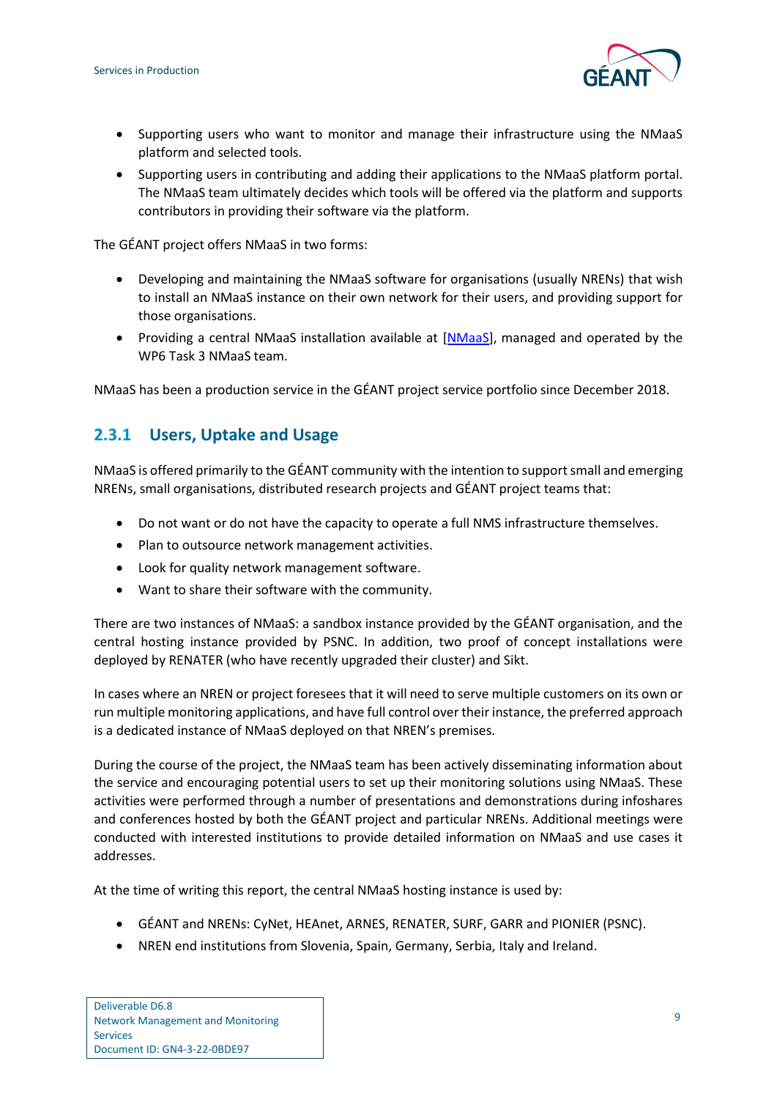

- Supporting users who want to monitor and manage their infrastructure using the NMaaS platform and selected tools.
- Supporting users in contributing and adding their applications to the NMaaS platform portal. The NMaaS team ultimately decides which tools will be offered via the platform and supports contributors in providing their software via the platform.

The GÉANT project offers NMaaS in two forms:

- Developing and maintaining the NMaaS software for organisations (usually NRENs) that wish to install an NMaaS instance on their own network for their users, and providing support for those organisations.
- Providing a central NMaaS installation available at [\[NMaaS\]](#page-25-4), managed and operated by the WP6 Task 3 NMaaS team.

NMaaS has been a production service in the GÉANT project service portfolio since December 2018.

### <span id="page-11-0"></span>**2.3.1 Users, Uptake and Usage**

NMaaS is offered primarily to the GÉANT community with the intention to support small and emerging NRENs, small organisations, distributed research projects and GÉANT project teams that:

- Do not want or do not have the capacity to operate a full NMS infrastructure themselves.
- Plan to outsource network management activities.
- Look for quality network management software.
- Want to share their software with the community.

There are two instances of NMaaS: a sandbox instance provided by the GÉANT organisation, and the central hosting instance provided by PSNC. In addition, two proof of concept installations were deployed by RENATER (who have recently upgraded their cluster) and Sikt.

In cases where an NREN or project foresees that it will need to serve multiple customers on its own or run multiple monitoring applications, and have full control over their instance, the preferred approach is a dedicated instance of NMaaS deployed on that NREN's premises.

During the course of the project, the NMaaS team has been actively disseminating information about the service and encouraging potential users to set up their monitoring solutions using NMaaS. These activities were performed through a number of presentations and demonstrations during infoshares and conferences hosted by both the GÉANT project and particular NRENs. Additional meetings were conducted with interested institutions to provide detailed information on NMaaS and use cases it addresses.

At the time of writing this report, the central NMaaS hosting instance is used by:

- GÉANT and NRENs: CyNet, HEAnet, ARNES, RENATER, SURF, GARR and PIONIER (PSNC).
- NREN end institutions from Slovenia, Spain, Germany, Serbia, Italy and Ireland.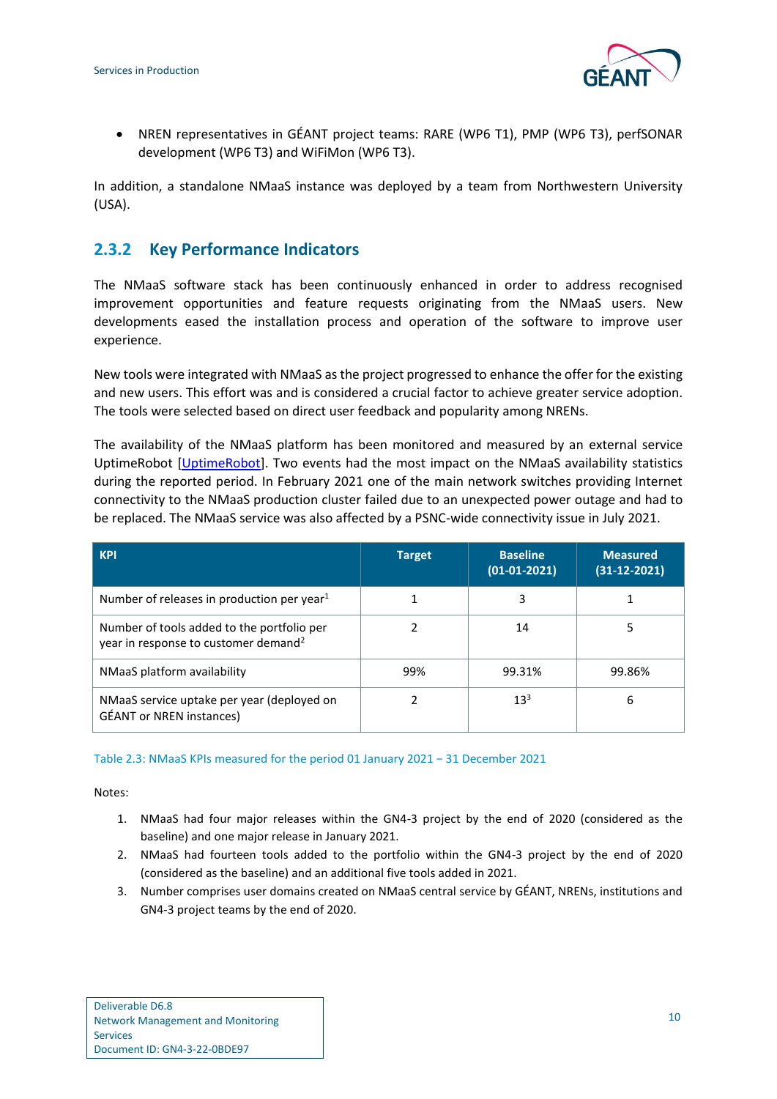

• NREN representatives in GÉANT project teams: RARE (WP6 T1), PMP (WP6 T3), perfSONAR development (WP6 T3) and WiFiMon (WP6 T3).

In addition, a standalone NMaaS instance was deployed by a team from Northwestern University (USA).

### <span id="page-12-0"></span>**2.3.2 Key Performance Indicators**

The NMaaS software stack has been continuously enhanced in order to address recognised improvement opportunities and feature requests originating from the NMaaS users. New developments eased the installation process and operation of the software to improve user experience.

New tools were integrated with NMaaS as the project progressed to enhance the offer for the existing and new users. This effort was and is considered a crucial factor to achieve greater service adoption. The tools were selected based on direct user feedback and popularity among NRENs.

The availability of the NMaaS platform has been monitored and measured by an external service UptimeRobot [\[UptimeRobot\]](#page-26-12). Two events had the most impact on the NMaaS availability statistics during the reported period. In February 2021 one of the main network switches providing Internet connectivity to the NMaaS production cluster failed due to an unexpected power outage and had to be replaced. The NMaaS service was also affected by a PSNC-wide connectivity issue in July 2021.

| <b>KPI</b>                                                                                     | <b>Target</b> | <b>Baseline</b><br>$(01-01-2021)$ | <b>Measured</b><br>$(31-12-2021)$ |
|------------------------------------------------------------------------------------------------|---------------|-----------------------------------|-----------------------------------|
| Number of releases in production per year $1$                                                  |               |                                   |                                   |
| Number of tools added to the portfolio per<br>year in response to customer demand <sup>2</sup> |               | 14                                |                                   |
| NMaaS platform availability                                                                    | 99%           | 99.31%                            | 99.86%                            |
| NMaaS service uptake per year (deployed on<br><b>GÉANT</b> or NREN instances)                  |               | $13^{3}$                          | 6                                 |

#### <span id="page-12-1"></span>Table 2.3: NMaaS KPIs measured for the period 01 January 2021 − 31 December 2021

<span id="page-12-2"></span>Notes:

- 1. NMaaS had four major releases within the GN4-3 project by the end of 2020 (considered as the baseline) and one major release in January 2021.
- <span id="page-12-3"></span>2. NMaaS had fourteen tools added to the portfolio within the GN4-3 project by the end of 2020 (considered as the baseline) and an additional five tools added in 2021.
- <span id="page-12-4"></span>3. Number comprises user domains created on NMaaS central service by GÉANT, NRENs, institutions and GN4-3 project teams by the end of 2020.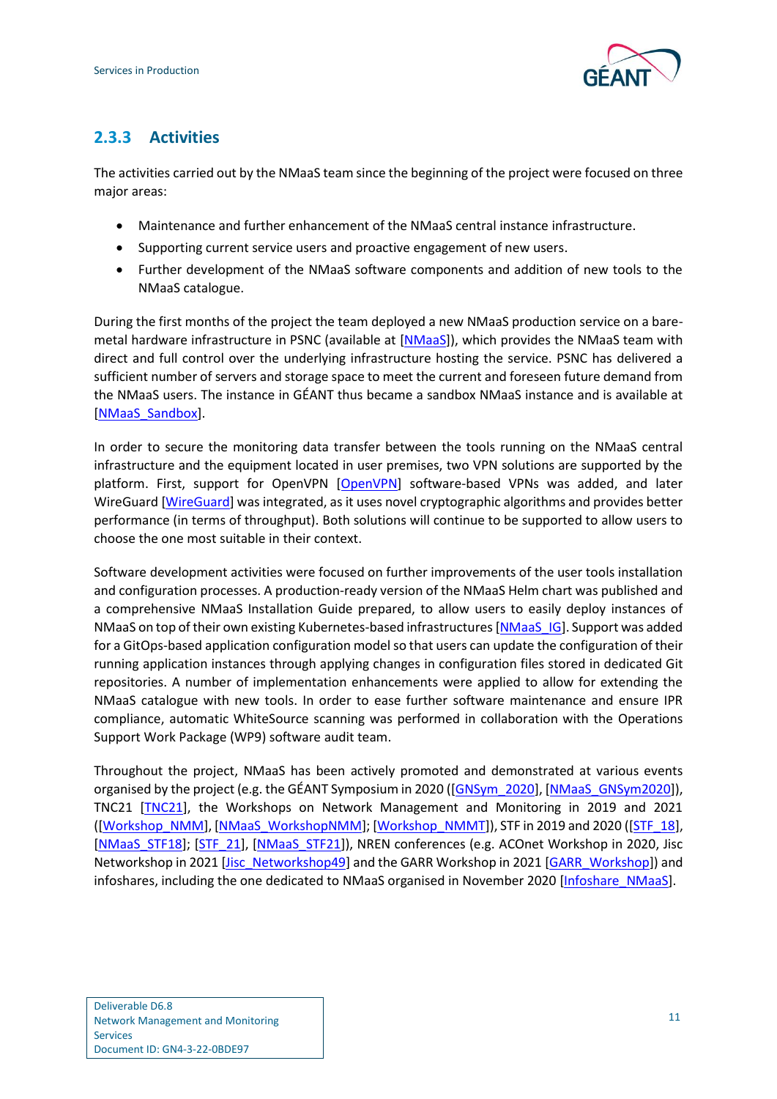

### <span id="page-13-0"></span>**2.3.3 Activities**

The activities carried out by the NMaaS team since the beginning of the project were focused on three major areas:

- Maintenance and further enhancement of the NMaaS central instance infrastructure.
- Supporting current service users and proactive engagement of new users.
- Further development of the NMaaS software components and addition of new tools to the NMaaS catalogue.

During the first months of the project the team deployed a new NMaaS production service on a baremetal hardware infrastructure in PSNC (available at [\[NMaaS\]](#page-25-4)), which provides the NMaaS team with direct and full control over the underlying infrastructure hosting the service. PSNC has delivered a sufficient number of servers and storage space to meet the current and foreseen future demand from the NMaaS users. The instance in GÉANT thus became a sandbox NMaaS instance and is available at [\[NMaaS\\_Sandbox\]](#page-25-5).

In order to secure the monitoring data transfer between the tools running on the NMaaS central infrastructure and the equipment located in user premises, two VPN solutions are supported by the platform. First, support for OpenVPN [\[OpenVPN\]](#page-25-6) software-based VPNs was added, and later WireGuard [\[WireGuard\]](#page-26-13) was integrated, as it uses novel cryptographic algorithms and provides better performance (in terms of throughput). Both solutions will continue to be supported to allow users to choose the one most suitable in their context.

Software development activities were focused on further improvements of the user tools installation and configuration processes. A production-ready version of the NMaaS Helm chart was published and a comprehensive NMaaS Installation Guide prepared, to allow users to easily deploy instances of NMaaS on top of their own existing Kubernetes-based infrastructures [\[NMaaS\\_IG\]](#page-25-7). Support was added for a GitOps-based application configuration model so that users can update the configuration of their running application instances through applying changes in configuration files stored in dedicated Git repositories. A number of implementation enhancements were applied to allow for extending the NMaaS catalogue with new tools. In order to ease further software maintenance and ensure IPR compliance, automatic WhiteSource scanning was performed in collaboration with the Operations Support Work Package (WP9) software audit team.

Throughout the project, NMaaS has been actively promoted and demonstrated at various events organised by the project (e.g. the GÉANT Symposium in 2020 ([\[GNSym\\_2020\]](#page-25-8), [\[NMaaS\\_GNSym2020\]](#page-25-9)), TNC21 [\[TNC21\]](#page-26-14), the Workshops on Network Management and Monitoring in 2019 and 2021 ([\[Workshop\\_NMM\]](#page-26-15), [\[NMaaS\\_WorkshopNMM\]](#page-25-10); [\[Workshop\\_NMMT\]](#page-26-16)), STF in 2019 and 2020 ([\[STF\\_18\]](#page-26-17), [\[NMaaS\\_STF18\]](#page-25-11); [\[STF\\_21\]](#page-26-18), [\[NMaaS\\_STF21\]](#page-25-12)), NREN conferences (e.g. ACOnet Workshop in 2020, Jisc Networkshop in 2021 [\[Jisc\\_Networkshop49\]](#page-25-13) and the GARR Workshop in 2021 [\[GARR\\_Workshop\]](#page-25-14)) and infoshares, including the one dedicated to NMaaS organised in November 2020 [\[Infoshare\\_NMaaS\]](#page-25-15).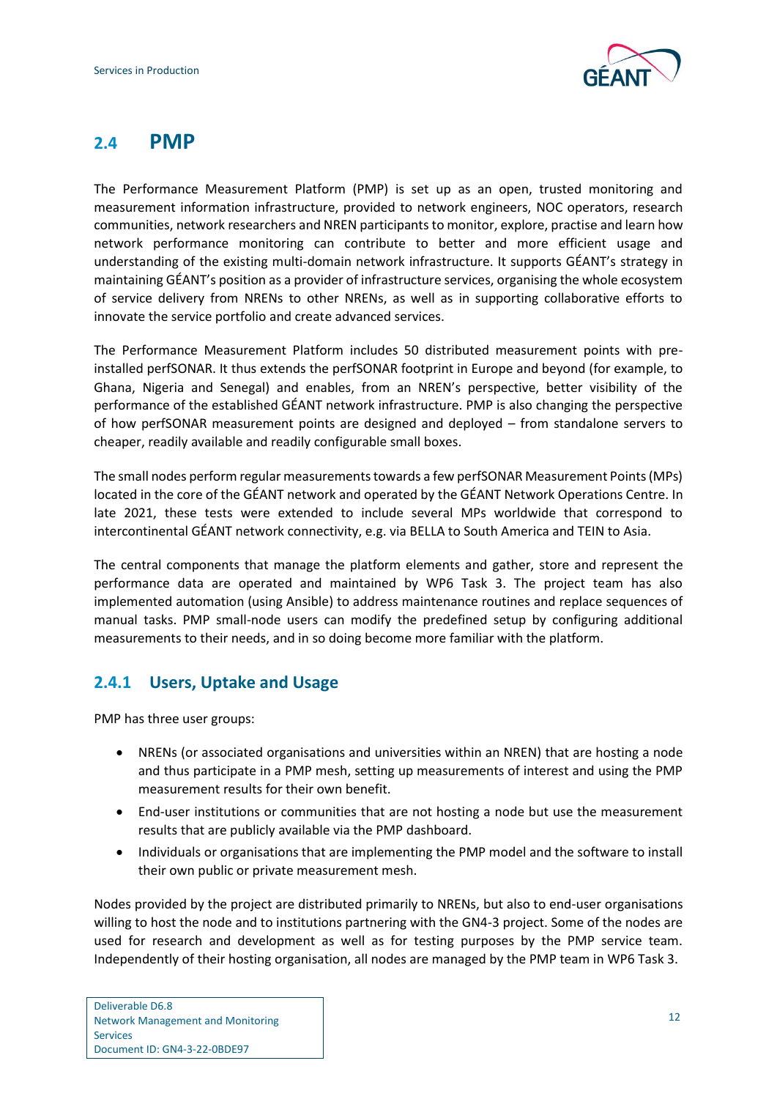

### <span id="page-14-0"></span>**2.4 PMP**

The Performance Measurement Platform (PMP) is set up as an open, trusted monitoring and measurement information infrastructure, provided to network engineers, NOC operators, research communities, network researchers and NREN participants to monitor, explore, practise and learn how network performance monitoring can contribute to better and more efficient usage and understanding of the existing multi-domain network infrastructure. It supports GÉANT's strategy in maintaining GÉANT's position as a provider of infrastructure services, organising the whole ecosystem of service delivery from NRENs to other NRENs, as well as in supporting collaborative efforts to innovate the service portfolio and create advanced services.

The Performance Measurement Platform includes 50 distributed measurement points with preinstalled perfSONAR. It thus extends the perfSONAR footprint in Europe and beyond (for example, to Ghana, Nigeria and Senegal) and enables, from an NREN's perspective, better visibility of the performance of the established GÉANT network infrastructure. PMP is also changing the perspective of how perfSONAR measurement points are designed and deployed – from standalone servers to cheaper, readily available and readily configurable small boxes.

The small nodes perform regular measurements towards a few perfSONAR Measurement Points (MPs) located in the core of the GÉANT network and operated by the GÉANT Network Operations Centre. In late 2021, these tests were extended to include several MPs worldwide that correspond to intercontinental GÉANT network connectivity, e.g. via BELLA to South America and TEIN to Asia.

The central components that manage the platform elements and gather, store and represent the performance data are operated and maintained by WP6 Task 3. The project team has also implemented automation (using Ansible) to address maintenance routines and replace sequences of manual tasks. PMP small-node users can modify the predefined setup by configuring additional measurements to their needs, and in so doing become more familiar with the platform.

### <span id="page-14-1"></span>**2.4.1 Users, Uptake and Usage**

PMP has three user groups:

- NRENs (or associated organisations and universities within an NREN) that are hosting a node and thus participate in a PMP mesh, setting up measurements of interest and using the PMP measurement results for their own benefit.
- End-user institutions or communities that are not hosting a node but use the measurement results that are publicly available via the PMP dashboard.
- Individuals or organisations that are implementing the PMP model and the software to install their own public or private measurement mesh.

Nodes provided by the project are distributed primarily to NRENs, but also to end-user organisations willing to host the node and to institutions partnering with the GN4-3 project. Some of the nodes are used for research and development as well as for testing purposes by the PMP service team. Independently of their hosting organisation, all nodes are managed by the PMP team in WP6 Task 3.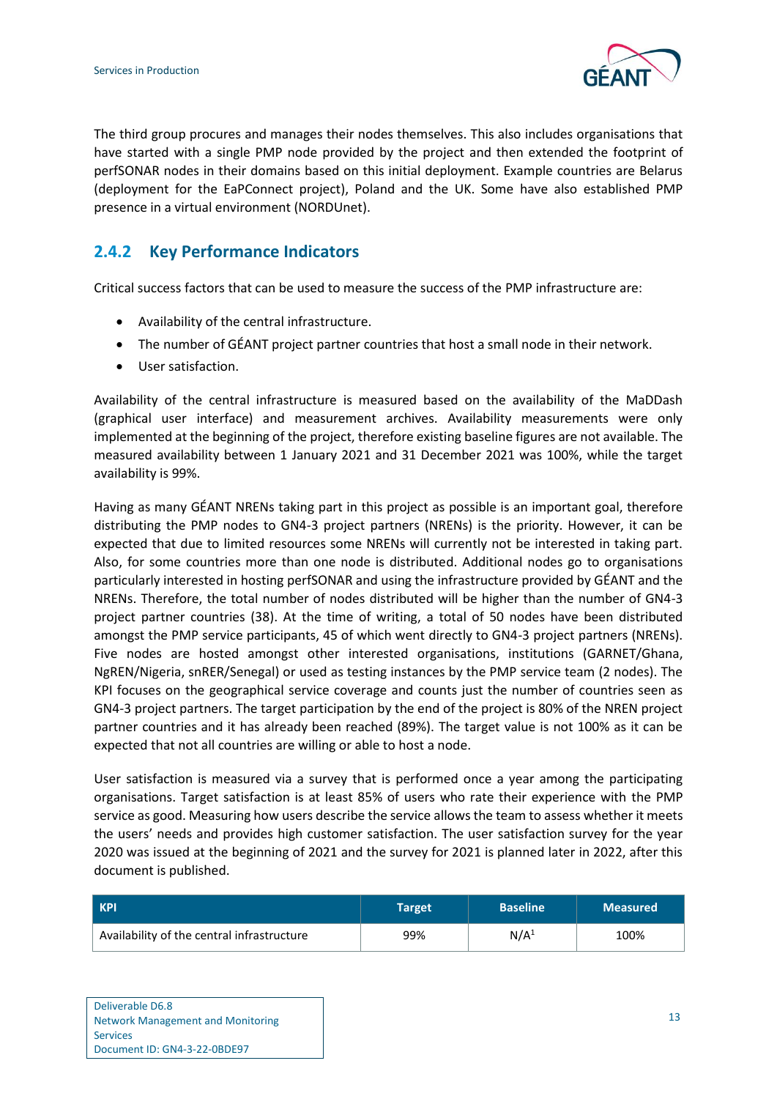

The third group procures and manages their nodes themselves. This also includes organisations that have started with a single PMP node provided by the project and then extended the footprint of perfSONAR nodes in their domains based on this initial deployment. Example countries are Belarus (deployment for the EaPConnect project), Poland and the UK. Some have also established PMP presence in a virtual environment (NORDUnet).

### <span id="page-15-0"></span>**2.4.2 Key Performance Indicators**

Critical success factors that can be used to measure the success of the PMP infrastructure are:

- Availability of the central infrastructure.
- The number of GÉANT project partner countries that host a small node in their network.
- User satisfaction.

Availability of the central infrastructure is measured based on the availability of the MaDDash (graphical user interface) and measurement archives. Availability measurements were only implemented at the beginning of the project, therefore existing baseline figures are not available. The measured availability between 1 January 2021 and 31 December 2021 was 100%, while the target availability is 99%.

Having as many GÉANT NRENs taking part in this project as possible is an important goal, therefore distributing the PMP nodes to GN4-3 project partners (NRENs) is the priority. However, it can be expected that due to limited resources some NRENs will currently not be interested in taking part. Also, for some countries more than one node is distributed. Additional nodes go to organisations particularly interested in hosting perfSONAR and using the infrastructure provided by GÉANT and the NRENs. Therefore, the total number of nodes distributed will be higher than the number of GN4-3 project partner countries (38). At the time of writing, a total of 50 nodes have been distributed amongst the PMP service participants, 45 of which went directly to GN4-3 project partners (NRENs). Five nodes are hosted amongst other interested organisations, institutions (GARNET/Ghana, NgREN/Nigeria, snRER/Senegal) or used as testing instances by the PMP service team (2 nodes). The KPI focuses on the geographical service coverage and counts just the number of countries seen as GN4-3 project partners. The target participation by the end of the project is 80% of the NREN project partner countries and it has already been reached (89%). The target value is not 100% as it can be expected that not all countries are willing or able to host a node.

User satisfaction is measured via a survey that is performed once a year among the participating organisations. Target satisfaction is at least 85% of users who rate their experience with the PMP service as good. Measuring how users describe the service allows the team to assess whether it meets the users' needs and provides high customer satisfaction. The user satisfaction survey for the year 2020 was issued at the beginning of 2021 and the survey for 2021 is planned later in 2022, after this document is published.

| KPI                                        | Target | <b>Baseline</b>  | <b>Measured</b> |
|--------------------------------------------|--------|------------------|-----------------|
| Availability of the central infrastructure | 99%    | N/A <sup>1</sup> | 100%            |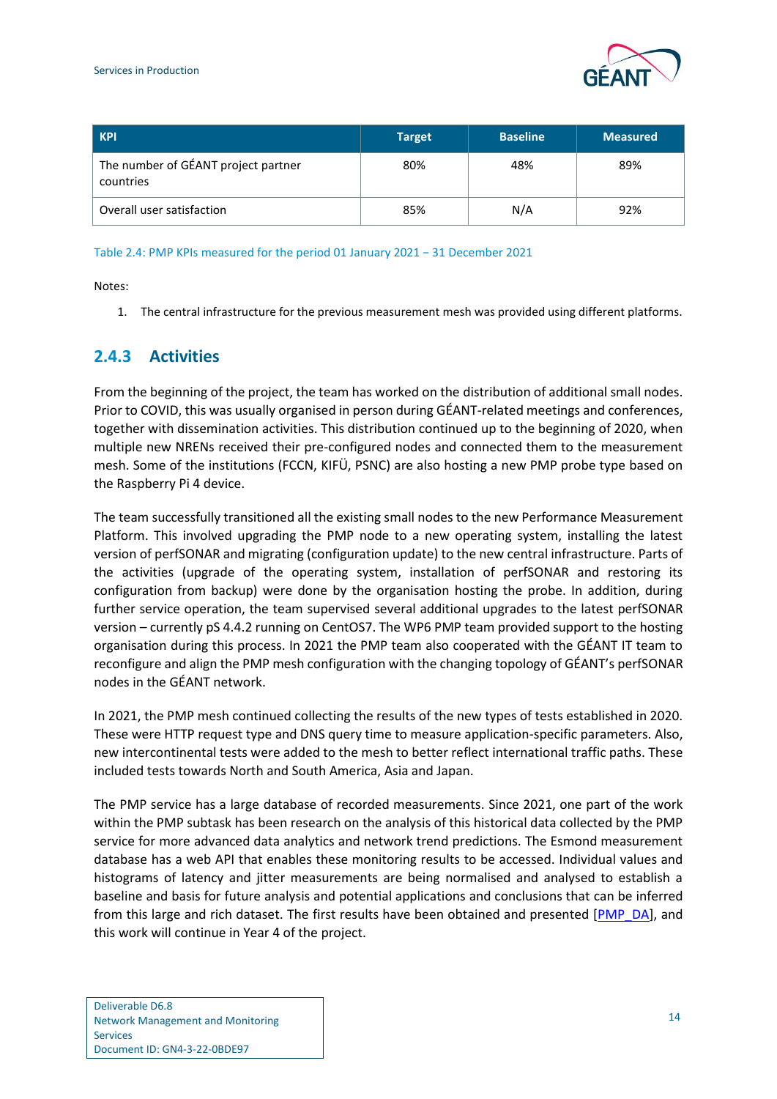

| <b>KPI</b>                                       | <b>Target</b> | <b>Baseline</b> | <b>Measured</b> |
|--------------------------------------------------|---------------|-----------------|-----------------|
| The number of GÉANT project partner<br>countries | 80%           | 48%             | 89%             |
| Overall user satisfaction                        | 85%           | N/A             | 92%             |

#### <span id="page-16-1"></span>Table 2.4: PMP KPIs measured for the period 01 January 2021 − 31 December 2021

Notes:

1. The central infrastructure for the previous measurement mesh was provided using different platforms.

#### <span id="page-16-0"></span>**2.4.3 Activities**

From the beginning of the project, the team has worked on the distribution of additional small nodes. Prior to COVID, this was usually organised in person during GÉANT-related meetings and conferences, together with dissemination activities. This distribution continued up to the beginning of 2020, when multiple new NRENs received their pre-configured nodes and connected them to the measurement mesh. Some of the institutions (FCCN, KIFÜ, PSNC) are also hosting a new PMP probe type based on the Raspberry Pi 4 device.

The team successfully transitioned all the existing small nodes to the new Performance Measurement Platform. This involved upgrading the PMP node to a new operating system, installing the latest version of perfSONAR and migrating (configuration update) to the new central infrastructure. Parts of the activities (upgrade of the operating system, installation of perfSONAR and restoring its configuration from backup) were done by the organisation hosting the probe. In addition, during further service operation, the team supervised several additional upgrades to the latest perfSONAR version – currently pS 4.4.2 running on CentOS7. The WP6 PMP team provided support to the hosting organisation during this process. In 2021 the PMP team also cooperated with the GÉANT IT team to reconfigure and align the PMP mesh configuration with the changing topology of GÉANT's perfSONAR nodes in the GÉANT network.

In 2021, the PMP mesh continued collecting the results of the new types of tests established in 2020. These were HTTP request type and DNS query time to measure application-specific parameters. Also, new intercontinental tests were added to the mesh to better reflect international traffic paths. These included tests towards North and South America, Asia and Japan.

The PMP service has a large database of recorded measurements. Since 2021, one part of the work within the PMP subtask has been research on the analysis of this historical data collected by the PMP service for more advanced data analytics and network trend predictions. The Esmond measurement database has a web API that enables these monitoring results to be accessed. Individual values and histograms of latency and jitter measurements are being normalised and analysed to establish a baseline and basis for future analysis and potential applications and conclusions that can be inferred from this large and rich dataset. The first results have been obtained and presented [\[PMP\\_DA\]](#page-26-19), and this work will continue in Year 4 of the project.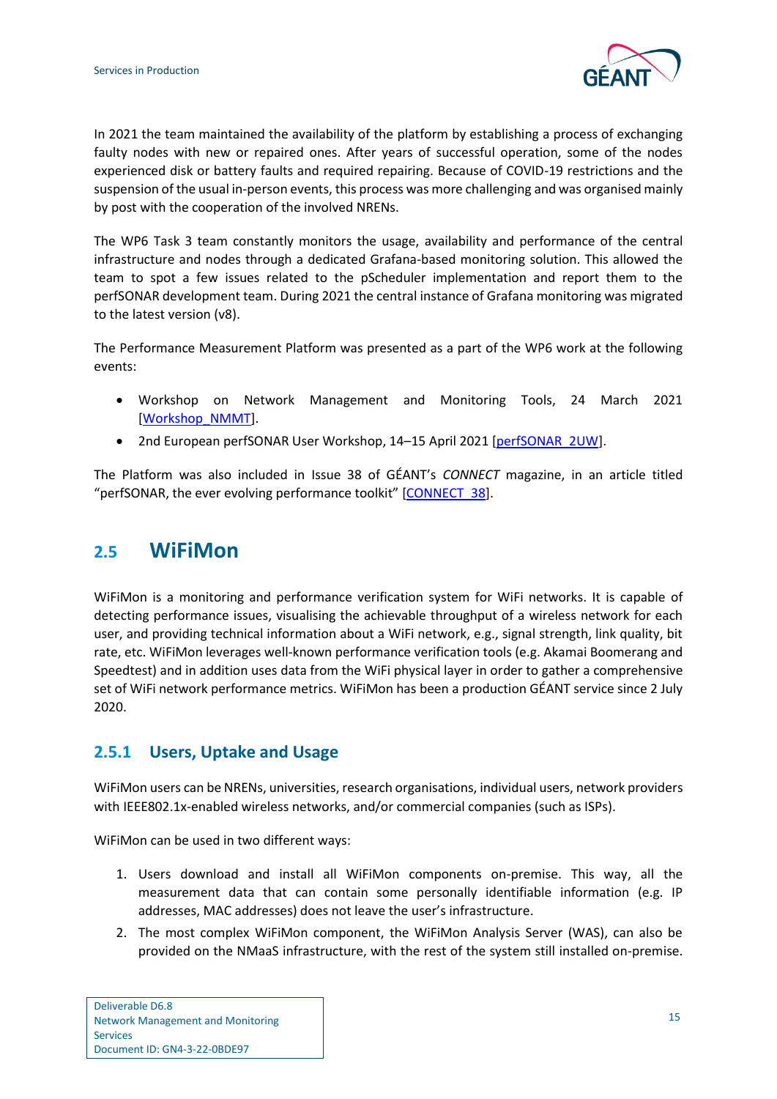

In 2021 the team maintained the availability of the platform by establishing a process of exchanging faulty nodes with new or repaired ones. After years of successful operation, some of the nodes experienced disk or battery faults and required repairing. Because of COVID-19 restrictions and the suspension of the usual in-person events, this process was more challenging and was organised mainly by post with the cooperation of the involved NRENs.

The WP6 Task 3 team constantly monitors the usage, availability and performance of the central infrastructure and nodes through a dedicated Grafana-based monitoring solution. This allowed the team to spot a few issues related to the pScheduler implementation and report them to the perfSONAR development team. During 2021 the central instance of Grafana monitoring was migrated to the latest version (v8).

The Performance Measurement Platform was presented as a part of the WP6 work at the following events:

- Workshop on Network Management and Monitoring Tools, 24 March 2021 [\[Workshop\\_NMMT\]](#page-26-16).
- 2nd European perfSONAR User Workshop, 14-15 April 2021 [\[perfSONAR\\_2UW\]](#page-26-11).

The Platform was also included in Issue 38 of GÉANT's *CONNECT* magazine, in an article titled "perfSONAR, the ever evolving performance toolkit" [\[CONNECT\\_38\]](#page-25-3).

### <span id="page-17-0"></span>**2.5 WiFiMon**

WiFiMon is a monitoring and performance verification system for WiFi networks. It is capable of detecting performance issues, visualising the achievable throughput of a wireless network for each user, and providing technical information about a WiFi network, e.g., signal strength, link quality, bit rate, etc. WiFiMon leverages well-known performance verification tools (e.g. Akamai Boomerang and Speedtest) and in addition uses data from the WiFi physical layer in order to gather a comprehensive set of WiFi network performance metrics. WiFiMon has been a production GÉANT service since 2 July 2020.

#### <span id="page-17-1"></span>**2.5.1 Users, Uptake and Usage**

WiFiMon users can be NRENs, universities, research organisations, individual users, network providers with IEEE802.1x-enabled wireless networks, and/or commercial companies (such as ISPs).

WiFiMon can be used in two different ways:

- 1. Users download and install all WiFiMon components on-premise. This way, all the measurement data that can contain some personally identifiable information (e.g. IP addresses, MAC addresses) does not leave the user's infrastructure.
- 2. The most complex WiFiMon component, the WiFiMon Analysis Server (WAS), can also be provided on the NMaaS infrastructure, with the rest of the system still installed on-premise.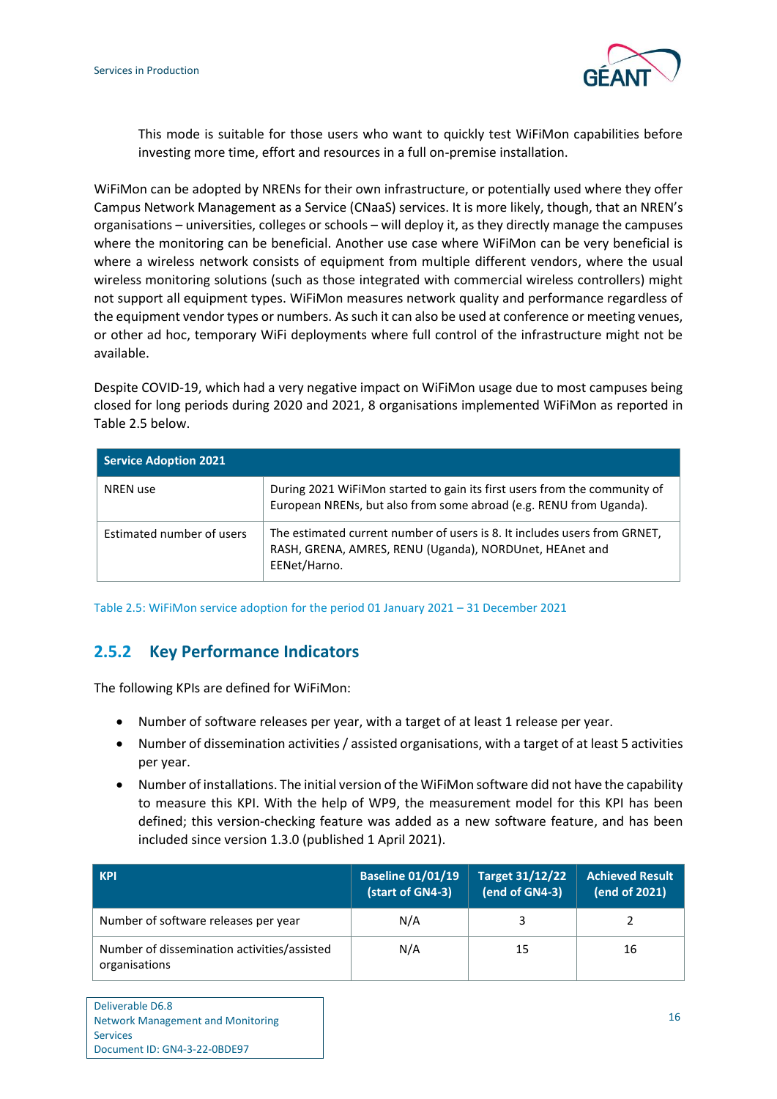

This mode is suitable for those users who want to quickly test WiFiMon capabilities before investing more time, effort and resources in a full on-premise installation.

WiFiMon can be adopted by NRENs for their own infrastructure, or potentially used where they offer Campus Network Management as a Service (CNaaS) services. It is more likely, though, that an NREN's organisations – universities, colleges or schools – will deploy it, as they directly manage the campuses where the monitoring can be beneficial. Another use case where WiFiMon can be very beneficial is where a wireless network consists of equipment from multiple different vendors, where the usual wireless monitoring solutions (such as those integrated with commercial wireless controllers) might not support all equipment types. WiFiMon measures network quality and performance regardless of the equipment vendor types or numbers. As such it can also be used at conference or meeting venues, or other ad hoc, temporary WiFi deployments where full control of the infrastructure might not be available.

Despite COVID-19, which had a very negative impact on WiFiMon usage due to most campuses being closed for long periods during 2020 and 2021, 8 organisations implemented WiFiMon as reported in [Table 2.5](#page-18-1) below.

| <b>Service Adoption 2021</b> |                                                                                                                                                      |
|------------------------------|------------------------------------------------------------------------------------------------------------------------------------------------------|
| <b>NREN</b> use              | During 2021 WiFiMon started to gain its first users from the community of<br>European NRENs, but also from some abroad (e.g. RENU from Uganda).      |
| Estimated number of users    | The estimated current number of users is 8. It includes users from GRNET,<br>RASH, GRENA, AMRES, RENU (Uganda), NORDUnet, HEAnet and<br>EENet/Harno. |

<span id="page-18-1"></span>Table 2.5: WiFiMon service adoption for the period 01 January 2021 – 31 December 2021

#### <span id="page-18-0"></span>**2.5.2 Key Performance Indicators**

The following KPIs are defined for WiFiMon:

- Number of software releases per year, with a target of at least 1 release per year.
- Number of dissemination activities / assisted organisations, with a target of at least 5 activities per year.
- Number of installations. The initial version of the WiFiMon software did not have the capability to measure this KPI. With the help of WP9, the measurement model for this KPI has been defined; this version-checking feature was added as a new software feature, and has been included since version 1.3.0 (published 1 April 2021).

| <b>KPI</b>                                                   | <b>Baseline 01/01/19</b><br>(start of GN4-3) | Target 31/12/22<br>(end of GN4-3) | Achieved Result<br>(end of 2021) |
|--------------------------------------------------------------|----------------------------------------------|-----------------------------------|----------------------------------|
| Number of software releases per year                         | N/A                                          |                                   |                                  |
| Number of dissemination activities/assisted<br>organisations | N/A                                          | 15                                | 16                               |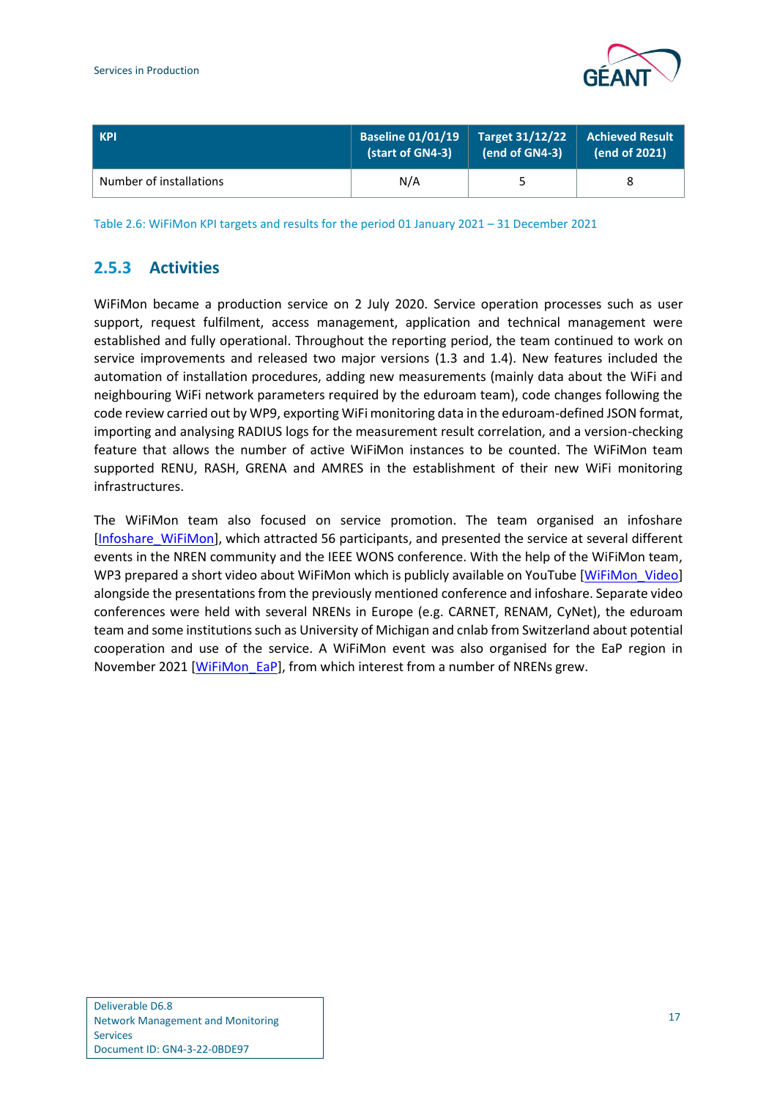

| <b>KPI</b>              | <b>Baseline 01/01/19</b> | <b>Target 31/12/22</b> | <b>Achieved Result</b> |
|-------------------------|--------------------------|------------------------|------------------------|
|                         | (start of GN4-3)         | (end of GN4-3)         | (end of 2021)          |
| Number of installations | N/A                      |                        |                        |

<span id="page-19-1"></span>Table 2.6: WiFiMon KPI targets and results for the period 01 January 2021 – 31 December 2021

#### <span id="page-19-0"></span>**2.5.3 Activities**

WiFiMon became a production service on 2 July 2020. Service operation processes such as user support, request fulfilment, access management, application and technical management were established and fully operational. Throughout the reporting period, the team continued to work on service improvements and released two major versions (1.3 and 1.4). New features included the automation of installation procedures, adding new measurements (mainly data about the WiFi and neighbouring WiFi network parameters required by the eduroam team), code changes following the code review carried out by WP9, exporting WiFi monitoring data in the eduroam-defined JSON format, importing and analysing RADIUS logs for the measurement result correlation, and a version-checking feature that allows the number of active WiFiMon instances to be counted. The WiFiMon team supported RENU, RASH, GRENA and AMRES in the establishment of their new WiFi monitoring infrastructures.

The WiFiMon team also focused on service promotion. The team organised an infoshare [\[Infoshare\\_WiFiMon\]](#page-25-16), which attracted 56 participants, and presented the service at several different events in the NREN community and the IEEE WONS conference. With the help of the WiFiMon team, WP3 prepared a short video about WiFiMon which is publicly available on YouTube [\[WiFiMon\\_Video\]](#page-26-20) alongside the presentations from the previously mentioned conference and infoshare. Separate video conferences were held with several NRENs in Europe (e.g. CARNET, RENAM, CyNet), the eduroam team and some institutions such as University of Michigan and cnlab from Switzerland about potential cooperation and use of the service. A WiFiMon event was also organised for the EaP region in November 2021 [\[WiFiMon\\_EaP\]](#page-26-21), from which interest from a number of NRENs grew.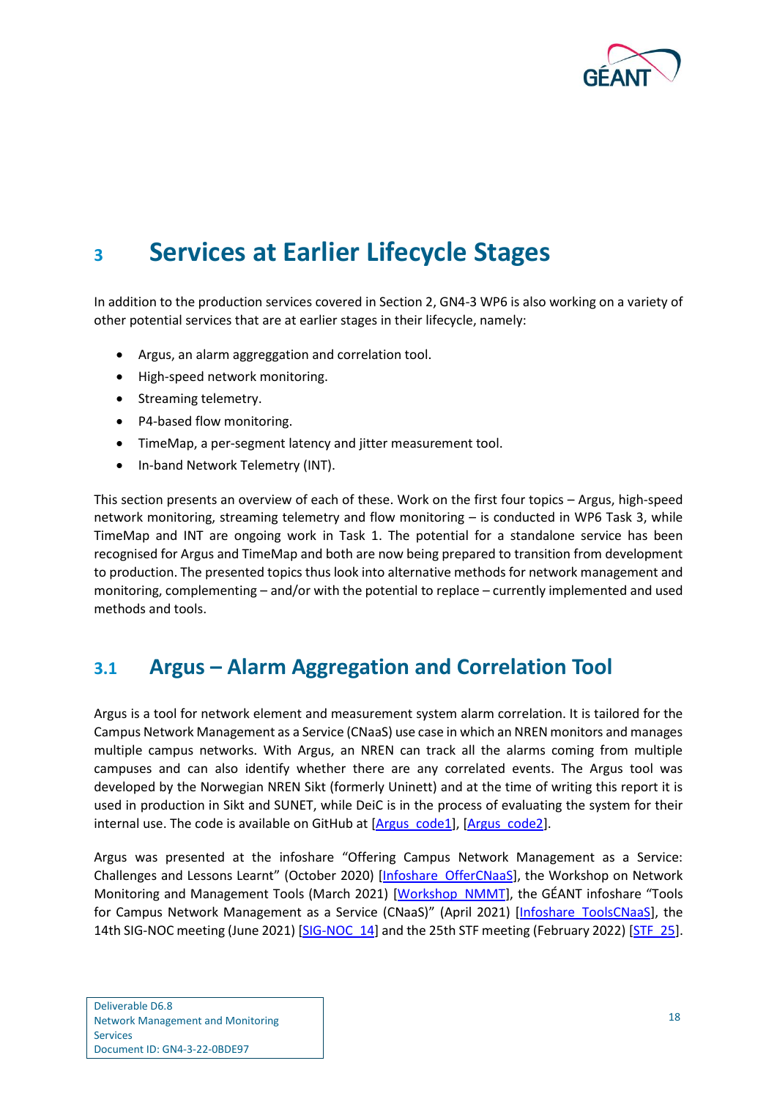

## <span id="page-20-0"></span>**<sup>3</sup> Services at Earlier Lifecycle Stages**

In addition to the production services covered in Section [2,](#page-6-0) GN4-3 WP6 is also working on a variety of other potential services that are at earlier stages in their lifecycle, namely:

- Argus, an alarm aggreggation and correlation tool.
- High-speed network monitoring.
- Streaming telemetry.
- P4-based flow monitoring.
- TimeMap, a per-segment latency and jitter measurement tool.
- In-band Network Telemetry (INT).

This section presents an overview of each of these. Work on the first four topics – Argus, high-speed network monitoring, streaming telemetry and flow monitoring – is conducted in WP6 Task 3, while TimeMap and INT are ongoing work in Task 1. The potential for a standalone service has been recognised for Argus and TimeMap and both are now being prepared to transition from development to production. The presented topics thus look into alternative methods for network management and monitoring, complementing – and/or with the potential to replace – currently implemented and used methods and tools.

## <span id="page-20-1"></span>**3.1 Argus – Alarm Aggregation and Correlation Tool**

Argus is a tool for network element and measurement system alarm correlation. It is tailored for the Campus Network Management as a Service (CNaaS) use case in which an NREN monitors and manages multiple campus networks. With Argus, an NREN can track all the alarms coming from multiple campuses and can also identify whether there are any correlated events. The Argus tool was developed by the Norwegian NREN Sikt (formerly Uninett) and at the time of writing this report it is used in production in Sikt and SUNET, while DeiC is in the process of evaluating the system for their internal use. The code is available on GitHub at [\[Argus\\_code1\]](#page-25-17), [\[Argus\\_code2\]](#page-25-18).

Argus was presented at the infoshare "Offering Campus Network Management as a Service: Challenges and Lessons Learnt" (October 2020) [\[Infoshare\\_OfferCNaaS\]](#page-25-19), the Workshop on Network Monitoring and Management Tools (March 2021) [\[Workshop\\_NMMT\]](#page-26-16), the GÉANT infoshare "Tools for Campus Network Management as a Service (CNaaS)" (April 2021) [Infoshare ToolsCNaaS], the 14th SIG-NOC meeting (June 2021) [SIG-NOC 14] and the 25th STF meeting (February 2022) [STF 25].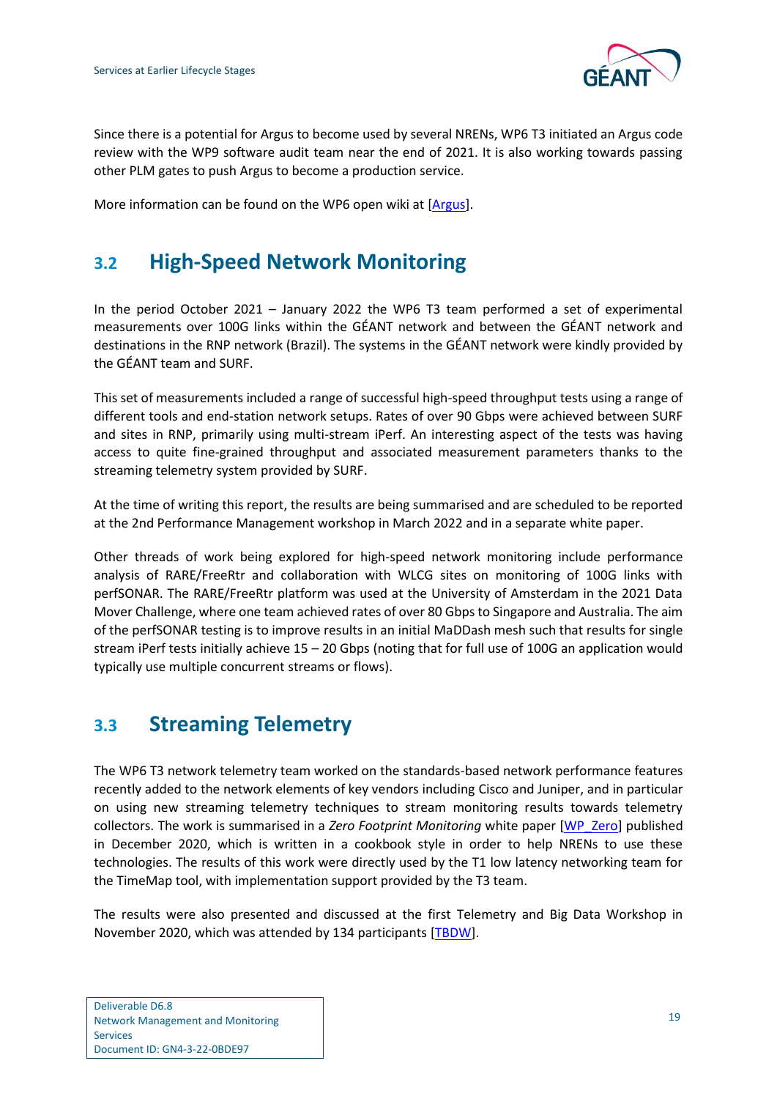

Since there is a potential for Argus to become used by several NRENs, WP6 T3 initiated an Argus code review with the WP9 software audit team near the end of 2021. It is also working towards passing other PLM gates to push Argus to become a production service.

More information can be found on the WP6 open wiki at [\[Argus\]](#page-25-2).

## <span id="page-21-0"></span>**3.2 High-Speed Network Monitoring**

In the period October 2021 – January 2022 the WP6 T3 team performed a set of experimental measurements over 100G links within the GÉANT network and between the GÉANT network and destinations in the RNP network (Brazil). The systems in the GÉANT network were kindly provided by the GÉANT team and SURF.

This set of measurements included a range of successful high-speed throughput tests using a range of different tools and end-station network setups. Rates of over 90 Gbps were achieved between SURF and sites in RNP, primarily using multi-stream iPerf. An interesting aspect of the tests was having access to quite fine-grained throughput and associated measurement parameters thanks to the streaming telemetry system provided by SURF.

At the time of writing this report, the results are being summarised and are scheduled to be reported at the 2nd Performance Management workshop in March 2022 and in a separate white paper.

Other threads of work being explored for high-speed network monitoring include performance analysis of RARE/FreeRtr and collaboration with WLCG sites on monitoring of 100G links with perfSONAR. The RARE/FreeRtr platform was used at the University of Amsterdam in the 2021 Data Mover Challenge, where one team achieved rates of over 80 Gbps to Singapore and Australia. The aim of the perfSONAR testing is to improve results in an initial MaDDash mesh such that results for single stream iPerf tests initially achieve 15 – 20 Gbps (noting that for full use of 100G an application would typically use multiple concurrent streams or flows).

## <span id="page-21-1"></span>**3.3 Streaming Telemetry**

The WP6 T3 network telemetry team worked on the standards-based network performance features recently added to the network elements of key vendors including Cisco and Juniper, and in particular on using new streaming telemetry techniques to stream monitoring results towards telemetry collectors. The work is summarised in a *Zero Footprint Monitoring* white paper [\[WP\\_Zero\]](#page-26-0) published in December 2020, which is written in a cookbook style in order to help NRENs to use these technologies. The results of this work were directly used by the T1 low latency networking team for the TimeMap tool, with implementation support provided by the T3 team.

The results were also presented and discussed at the first Telemetry and Big Data Workshop in November 2020, which was attended by 134 participants [\[TBDW\]](#page-26-24).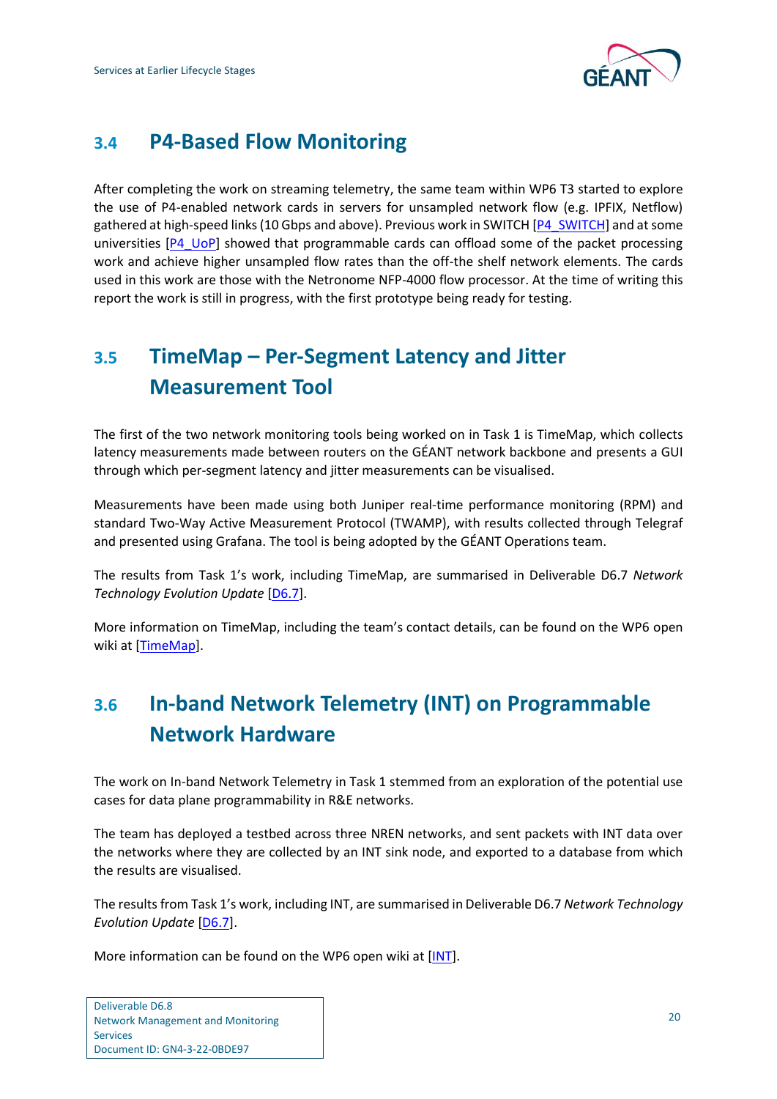

## <span id="page-22-0"></span>**3.4 P4-Based Flow Monitoring**

After completing the work on streaming telemetry, the same team within WP6 T3 started to explore the use of P4-enabled network cards in servers for unsampled network flow (e.g. IPFIX, Netflow) gathered at high-speed links (10 Gbps and above). Previous work in SWITCH [\[P4\\_SWITCH\]](#page-25-21) and at some universities  $[P4 \, \text{UoP}]$  showed that programmable cards can offload some of the packet processing work and achieve higher unsampled flow rates than the off-the shelf network elements. The cards used in this work are those with the Netronome NFP-4000 flow processor. At the time of writing this report the work is still in progress, with the first prototype being ready for testing.

## <span id="page-22-1"></span>**3.5 TimeMap – Per-Segment Latency and Jitter Measurement Tool**

The first of the two network monitoring tools being worked on in Task 1 is TimeMap, which collects latency measurements made between routers on the GÉANT network backbone and presents a GUI through which per-segment latency and jitter measurements can be visualised.

Measurements have been made using both Juniper real-time performance monitoring (RPM) and standard Two-Way Active Measurement Protocol (TWAMP), with results collected through Telegraf and presented using Grafana. The tool is being adopted by the GÉANT Operations team.

The results from Task 1's work, including TimeMap, are summarised in Deliverable D6.7 *Network Technology Evolution Update* [\[D6.7\]](#page-25-22).

More information on TimeMap, including the team's contact details, can be found on the WP6 open wiki at [\[TimeMap\]](#page-26-26).

## <span id="page-22-2"></span>**3.6 In-band Network Telemetry (INT) on Programmable Network Hardware**

The work on In-band Network Telemetry in Task 1 stemmed from an exploration of the potential use cases for data plane programmability in R&E networks.

The team has deployed a testbed across three NREN networks, and sent packets with INT data over the networks where they are collected by an INT sink node, and exported to a database from which the results are visualised.

The results from Task 1's work, including INT, are summarised in Deliverable D6.7 *Network Technology Evolution Update* [\[D6.7\]](#page-25-22).

More information can be found on the WP6 open wiki at [\[INT\]](#page-25-23).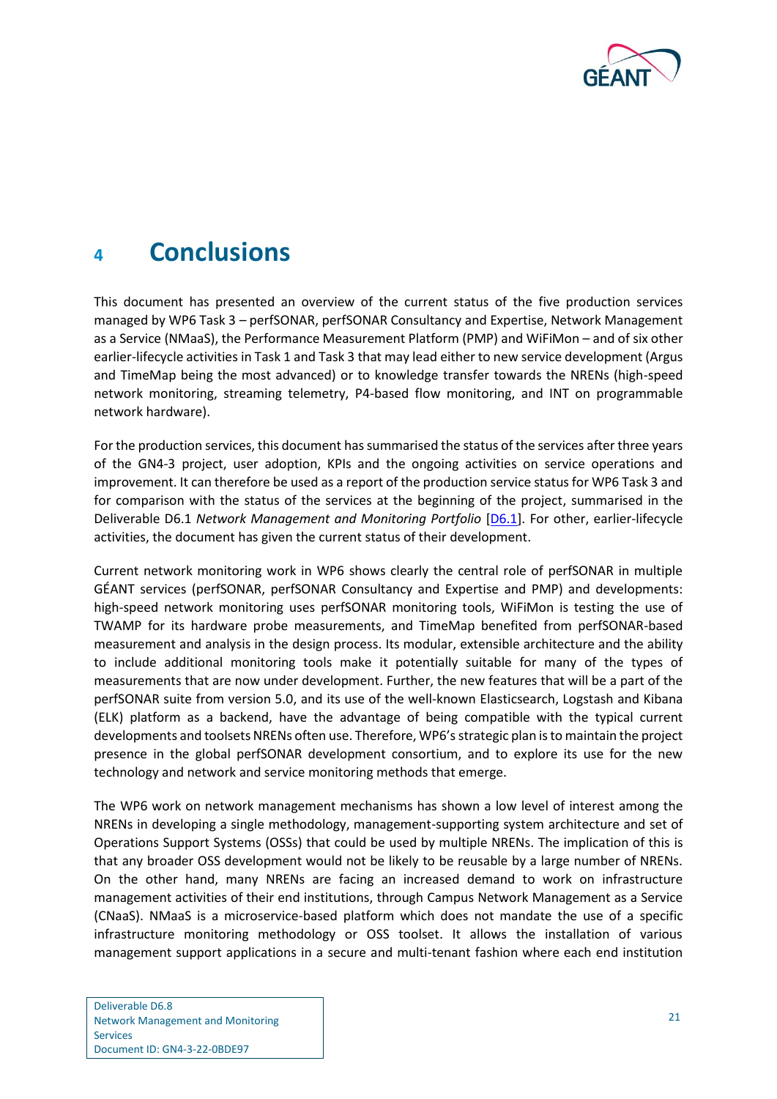

## <span id="page-23-0"></span>**<sup>4</sup> Conclusions**

This document has presented an overview of the current status of the five production services managed by WP6 Task 3 – perfSONAR, perfSONAR Consultancy and Expertise, Network Management as a Service (NMaaS), the Performance Measurement Platform (PMP) and WiFiMon – and of six other earlier-lifecycle activities in Task 1 and Task 3 that may lead either to new service development (Argus and TimeMap being the most advanced) or to knowledge transfer towards the NRENs (high-speed network monitoring, streaming telemetry, P4-based flow monitoring, and INT on programmable network hardware).

For the production services, this document has summarised the status of the services after three years of the GN4-3 project, user adoption, KPIs and the ongoing activities on service operations and improvement. It can therefore be used as a report of the production service status for WP6 Task 3 and for comparison with the status of the services at the beginning of the project, summarised in the Deliverable D6.1 *Network Management and Monitoring Portfolio* [\[D6.1\]](#page-25-1). For other, earlier-lifecycle activities, the document has given the current status of their development.

Current network monitoring work in WP6 shows clearly the central role of perfSONAR in multiple GÉANT services (perfSONAR, perfSONAR Consultancy and Expertise and PMP) and developments: high-speed network monitoring uses perfSONAR monitoring tools, WiFiMon is testing the use of TWAMP for its hardware probe measurements, and TimeMap benefited from perfSONAR-based measurement and analysis in the design process. Its modular, extensible architecture and the ability to include additional monitoring tools make it potentially suitable for many of the types of measurements that are now under development. Further, the new features that will be a part of the perfSONAR suite from version 5.0, and its use of the well-known Elasticsearch, Logstash and Kibana (ELK) platform as a backend, have the advantage of being compatible with the typical current developments and toolsets NRENs often use. Therefore, WP6's strategic plan is to maintain the project presence in the global perfSONAR development consortium, and to explore its use for the new technology and network and service monitoring methods that emerge.

The WP6 work on network management mechanisms has shown a low level of interest among the NRENs in developing a single methodology, management-supporting system architecture and set of Operations Support Systems (OSSs) that could be used by multiple NRENs. The implication of this is that any broader OSS development would not be likely to be reusable by a large number of NRENs. On the other hand, many NRENs are facing an increased demand to work on infrastructure management activities of their end institutions, through Campus Network Management as a Service (CNaaS). NMaaS is a microservice-based platform which does not mandate the use of a specific infrastructure monitoring methodology or OSS toolset. It allows the installation of various management support applications in a secure and multi-tenant fashion where each end institution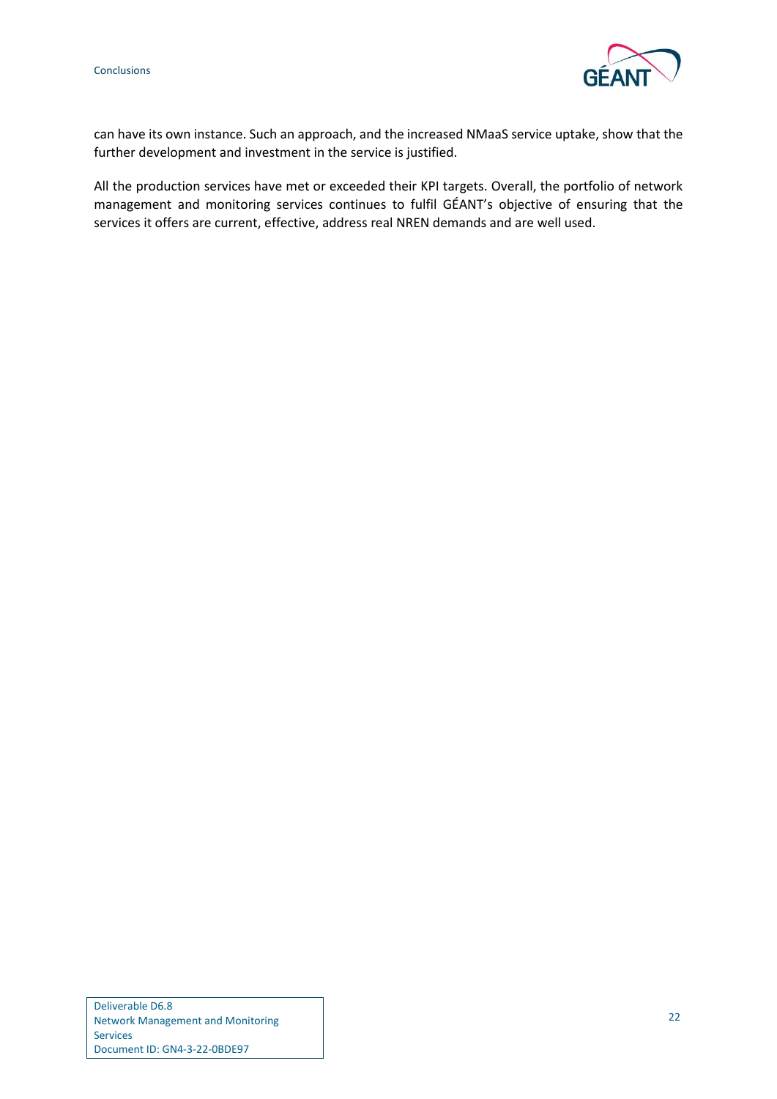

can have its own instance. Such an approach, and the increased NMaaS service uptake, show that the further development and investment in the service is justified.

All the production services have met or exceeded their KPI targets. Overall, the portfolio of network management and monitoring services continues to fulfil GÉANT's objective of ensuring that the services it offers are current, effective, address real NREN demands and are well used.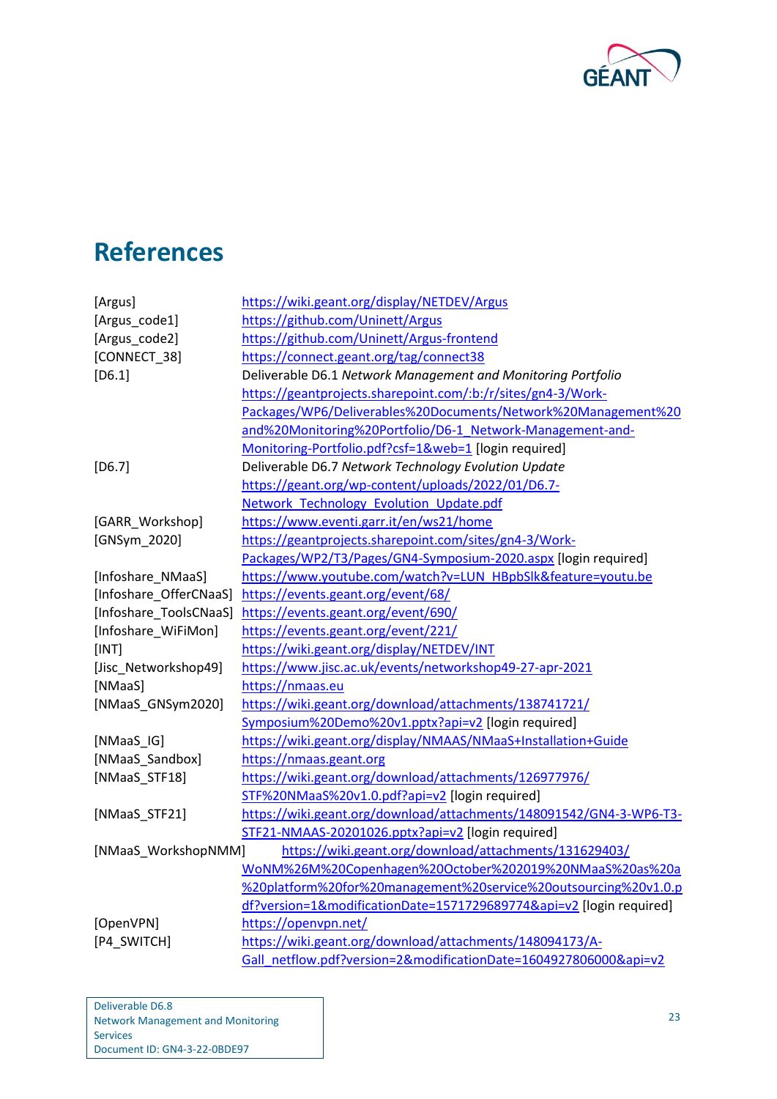

## <span id="page-25-0"></span>**References**

<span id="page-25-23"></span><span id="page-25-22"></span><span id="page-25-21"></span><span id="page-25-20"></span><span id="page-25-19"></span><span id="page-25-18"></span><span id="page-25-17"></span><span id="page-25-16"></span><span id="page-25-15"></span><span id="page-25-14"></span><span id="page-25-13"></span><span id="page-25-12"></span><span id="page-25-11"></span><span id="page-25-10"></span><span id="page-25-9"></span><span id="page-25-8"></span><span id="page-25-7"></span><span id="page-25-6"></span><span id="page-25-5"></span><span id="page-25-4"></span><span id="page-25-3"></span><span id="page-25-2"></span><span id="page-25-1"></span>

| [Argus]                | https://wiki.geant.org/display/NETDEV/Argus                         |  |  |
|------------------------|---------------------------------------------------------------------|--|--|
| [Argus_code1]          | https://github.com/Uninett/Argus                                    |  |  |
| [Argus_code2]          | https://github.com/Uninett/Argus-frontend                           |  |  |
| [CONNECT_38]           | https://connect.geant.org/tag/connect38                             |  |  |
| $[D6.1]$               | Deliverable D6.1 Network Management and Monitoring Portfolio        |  |  |
|                        | https://geantprojects.sharepoint.com/:b:/r/sites/gn4-3/Work-        |  |  |
|                        | Packages/WP6/Deliverables%20Documents/Network%20Management%20       |  |  |
|                        | and%20Monitoring%20Portfolio/D6-1_Network-Management-and-           |  |  |
|                        | Monitoring-Portfolio.pdf?csf=1&web=1 [login required]               |  |  |
| $[D6.7]$               | Deliverable D6.7 Network Technology Evolution Update                |  |  |
|                        | https://geant.org/wp-content/uploads/2022/01/D6.7-                  |  |  |
|                        | Network Technology Evolution Update.pdf                             |  |  |
| [GARR_Workshop]        | https://www.eventi.garr.it/en/ws21/home                             |  |  |
| [GNSym_2020]           | https://geantprojects.sharepoint.com/sites/gn4-3/Work-              |  |  |
|                        | Packages/WP2/T3/Pages/GN4-Symposium-2020.aspx [login required]      |  |  |
| [Infoshare_NMaaS]      | https://www.youtube.com/watch?v=LUN_HBpbSlk&feature=youtu.be        |  |  |
| [Infoshare_OfferCNaaS] | https://events.geant.org/event/68/                                  |  |  |
| [Infoshare_ToolsCNaaS] | https://events.geant.org/event/690/                                 |  |  |
| [Infoshare_WiFiMon]    | https://events.geant.org/event/221/                                 |  |  |
| [INT]                  | https://wiki.geant.org/display/NETDEV/INT                           |  |  |
| [Jisc_Networkshop49]   | https://www.jisc.ac.uk/events/networkshop49-27-apr-2021             |  |  |
| [NMaaS]                | https://nmaas.eu                                                    |  |  |
| [NMaaS_GNSym2020]      | https://wiki.geant.org/download/attachments/138741721/              |  |  |
|                        | Symposium%20Demo%20v1.pptx?api=v2 [login required]                  |  |  |
| [NMaaS_IG]             | https://wiki.geant.org/display/NMAAS/NMaaS+Installation+Guide       |  |  |
| [NMaaS_Sandbox]        | https://nmaas.geant.org                                             |  |  |
| [NMaaS_STF18]          | https://wiki.geant.org/download/attachments/126977976/              |  |  |
|                        | STF%20NMaaS%20v1.0.pdf?api=v2 [login required]                      |  |  |
| [NMaaS_STF21]          | https://wiki.geant.org/download/attachments/148091542/GN4-3-WP6-T3- |  |  |
|                        | STF21-NMAAS-20201026.pptx?api=v2 [login required]                   |  |  |
| [NMaaS_WorkshopNMM]    | https://wiki.geant.org/download/attachments/131629403/              |  |  |
|                        | WoNM%26M%20Copenhagen%20October%202019%20NMaaS%20as%20a             |  |  |
|                        | %20platform%20for%20management%20service%20outsourcing%20v1.0.p     |  |  |
|                        | df?version=1&modificationDate=1571729689774&api=v2 [login required] |  |  |
| [OpenVPN]              | https://openvpn.net/                                                |  |  |
| [P4_SWITCH]            | https://wiki.geant.org/download/attachments/148094173/A-            |  |  |
|                        | Gall netflow.pdf?version=2&modificationDate=1604927806000&api=v2    |  |  |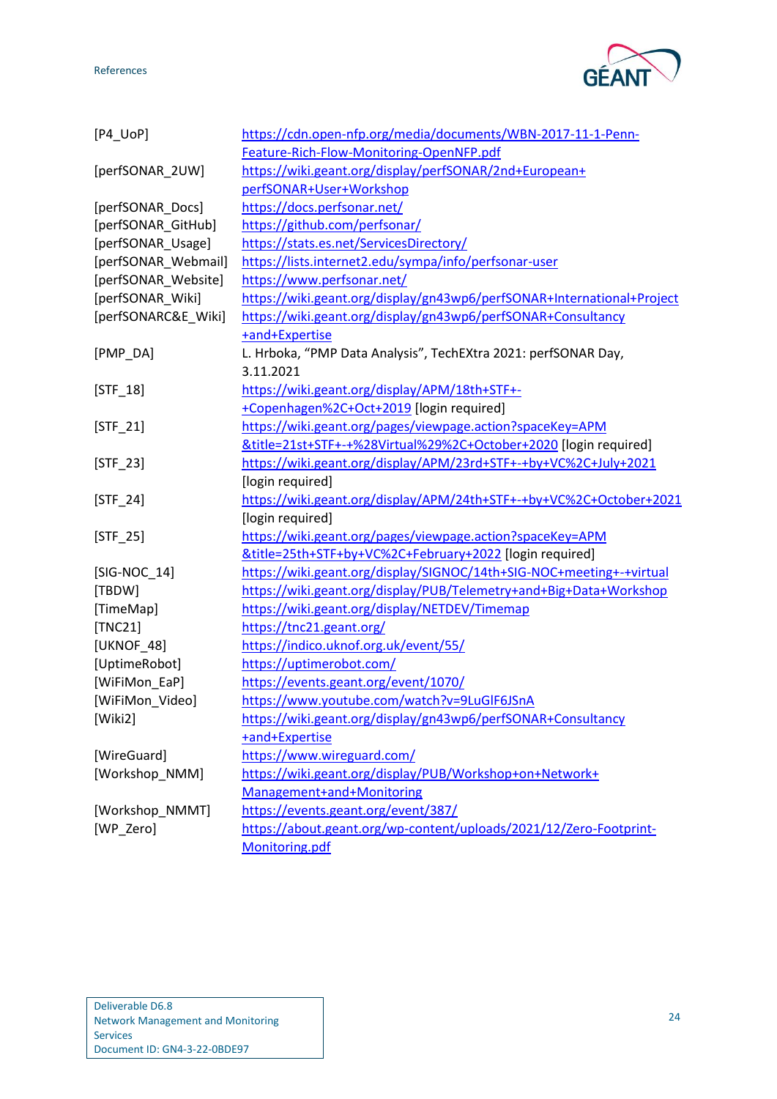References



<span id="page-26-26"></span><span id="page-26-25"></span><span id="page-26-24"></span><span id="page-26-23"></span><span id="page-26-22"></span><span id="page-26-21"></span><span id="page-26-20"></span><span id="page-26-19"></span><span id="page-26-18"></span><span id="page-26-17"></span><span id="page-26-16"></span><span id="page-26-15"></span><span id="page-26-14"></span><span id="page-26-13"></span><span id="page-26-12"></span><span id="page-26-11"></span><span id="page-26-10"></span><span id="page-26-9"></span><span id="page-26-8"></span><span id="page-26-7"></span><span id="page-26-6"></span><span id="page-26-5"></span><span id="page-26-4"></span><span id="page-26-3"></span><span id="page-26-2"></span><span id="page-26-1"></span><span id="page-26-0"></span>

| $[P4_UOP]$          | https://cdn.open-nfp.org/media/documents/WBN-2017-11-1-Penn-           |
|---------------------|------------------------------------------------------------------------|
|                     | Feature-Rich-Flow-Monitoring-OpenNFP.pdf                               |
| [perfSONAR_2UW]     | https://wiki.geant.org/display/perfSONAR/2nd+European+                 |
|                     | perfSONAR+User+Workshop                                                |
| [perfSONAR_Docs]    | https://docs.perfsonar.net/                                            |
| [perfSONAR_GitHub]  | https://github.com/perfsonar/                                          |
| [perfSONAR_Usage]   | https://stats.es.net/ServicesDirectory/                                |
| [perfSONAR_Webmail] | https://lists.internet2.edu/sympa/info/perfsonar-user                  |
| [perfSONAR_Website] | https://www.perfsonar.net/                                             |
| [perfSONAR_Wiki]    | https://wiki.geant.org/display/gn43wp6/perfSONAR+International+Project |
| [perfSONARC&E_Wiki] | https://wiki.geant.org/display/gn43wp6/perfSONAR+Consultancy           |
|                     | +and+Expertise                                                         |
| [PMP_DA]            | L. Hrboka, "PMP Data Analysis", TechEXtra 2021: perfSONAR Day,         |
|                     | 3.11.2021                                                              |
| $[STF_18]$          | https://wiki.geant.org/display/APM/18th+STF+-                          |
|                     | +Copenhagen%2C+Oct+2019 [login required]                               |
| $[STF_21]$          | https://wiki.geant.org/pages/viewpage.action?spaceKey=APM              |
|                     | &title=21st+STF+-+%28Virtual%29%2C+October+2020 [login required]       |
| $[STF_23]$          | https://wiki.geant.org/display/APM/23rd+STF+-+by+VC%2C+July+2021       |
|                     | [login required]                                                       |
| $[STF_24]$          | https://wiki.geant.org/display/APM/24th+STF+-+by+VC%2C+October+2021    |
|                     | [login required]                                                       |
| $[STF_25]$          | https://wiki.geant.org/pages/viewpage.action?spaceKey=APM              |
|                     | &title=25th+STF+by+VC%2C+February+2022 [login required]                |
| $[SIG-NOC_14]$      | https://wiki.geant.org/display/SIGNOC/14th+SIG-NOC+meeting+-+virtual   |
| [TBDW]              | https://wiki.geant.org/display/PUB/Telemetry+and+Big+Data+Workshop     |
| [TimeMap]           | https://wiki.geant.org/display/NETDEV/Timemap                          |
| [TNC21]             | https://tnc21.geant.org/                                               |
| [UKNOF_48]          | https://indico.uknof.org.uk/event/55/                                  |
| [UptimeRobot]       | https://uptimerobot.com/                                               |
| [WiFiMon EaP]       | https://events.geant.org/event/1070/                                   |
| [WiFiMon_Video]     | https://www.youtube.com/watch?v=9LuGIF6JSnA                            |
| [Wiki2]             | https://wiki.geant.org/display/gn43wp6/perfSONAR+Consultancy           |
|                     | +and+Expertise                                                         |
| [WireGuard]         | https://www.wireguard.com/                                             |
| [Workshop NMM]      | https://wiki.geant.org/display/PUB/Workshop+on+Network+                |
|                     | Management+and+Monitoring                                              |
| [Workshop_NMMT]     | https://events.geant.org/event/387/                                    |
| [WP_Zero]           | https://about.geant.org/wp-content/uploads/2021/12/Zero-Footprint-     |
|                     | Monitoring.pdf                                                         |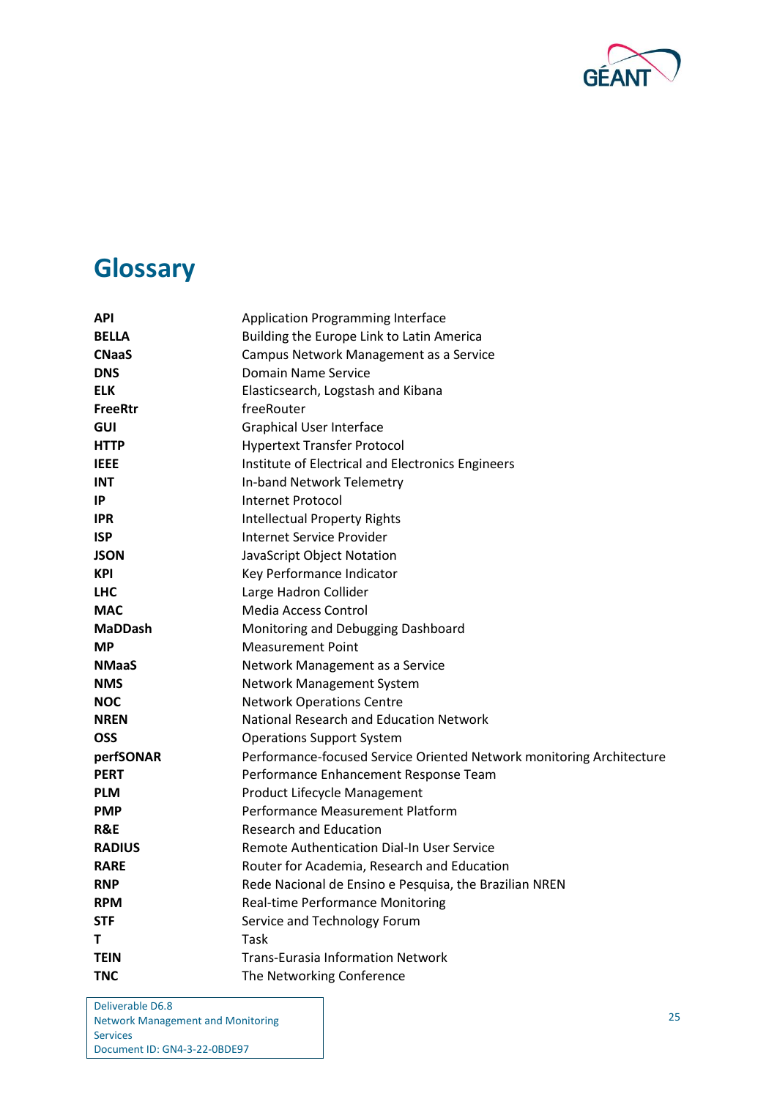

# <span id="page-27-0"></span>**Glossary**

| API            | Application Programming Interface                                    |
|----------------|----------------------------------------------------------------------|
| <b>BELLA</b>   | Building the Europe Link to Latin America                            |
| <b>CNaaS</b>   | Campus Network Management as a Service                               |
| <b>DNS</b>     | <b>Domain Name Service</b>                                           |
| <b>ELK</b>     | Elasticsearch, Logstash and Kibana                                   |
| <b>FreeRtr</b> | freeRouter                                                           |
| GUI            | <b>Graphical User Interface</b>                                      |
| <b>HTTP</b>    | <b>Hypertext Transfer Protocol</b>                                   |
| <b>IEEE</b>    | Institute of Electrical and Electronics Engineers                    |
| <b>INT</b>     | In-band Network Telemetry                                            |
| IP             | <b>Internet Protocol</b>                                             |
| <b>IPR</b>     | <b>Intellectual Property Rights</b>                                  |
| <b>ISP</b>     | Internet Service Provider                                            |
| <b>JSON</b>    | JavaScript Object Notation                                           |
| <b>KPI</b>     | Key Performance Indicator                                            |
| <b>LHC</b>     | Large Hadron Collider                                                |
| <b>MAC</b>     | Media Access Control                                                 |
| <b>MaDDash</b> | Monitoring and Debugging Dashboard                                   |
| <b>MP</b>      | <b>Measurement Point</b>                                             |
| <b>NMaaS</b>   | Network Management as a Service                                      |
| <b>NMS</b>     | Network Management System                                            |
| <b>NOC</b>     | <b>Network Operations Centre</b>                                     |
| <b>NREN</b>    | National Research and Education Network                              |
| <b>OSS</b>     | <b>Operations Support System</b>                                     |
| perfSONAR      | Performance-focused Service Oriented Network monitoring Architecture |
| <b>PERT</b>    | Performance Enhancement Response Team                                |
| <b>PLM</b>     | Product Lifecycle Management                                         |
| <b>PMP</b>     | Performance Measurement Platform                                     |
| R&E            | <b>Research and Education</b>                                        |
| <b>RADIUS</b>  | Remote Authentication Dial-In User Service                           |
| <b>RARE</b>    | Router for Academia, Research and Education                          |
| <b>RNP</b>     | Rede Nacional de Ensino e Pesquisa, the Brazilian NREN               |
| <b>RPM</b>     | <b>Real-time Performance Monitoring</b>                              |
| STF            | Service and Technology Forum                                         |
| т              | Task                                                                 |
| <b>TEIN</b>    | <b>Trans-Eurasia Information Network</b>                             |
| <b>TNC</b>     | The Networking Conference                                            |

Deliverable D6.8 Network Management and Monitoring Services Document ID: GN4-3-22-0BDE97